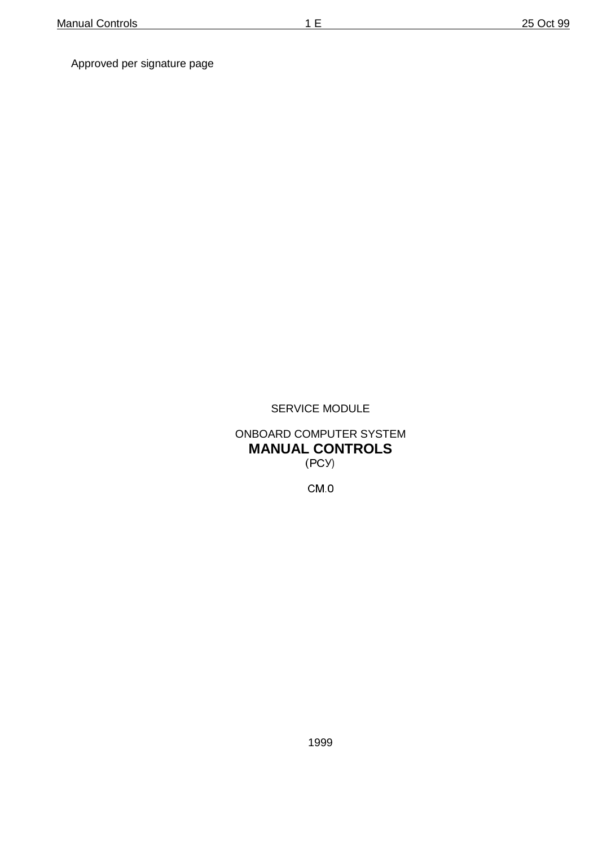Approved per signature page

SERVICE MODULE

ONBOARD COMPUTER SYSTEM **MANUAL CONTROLS** (PC Y)

 $CM<sub>0</sub>$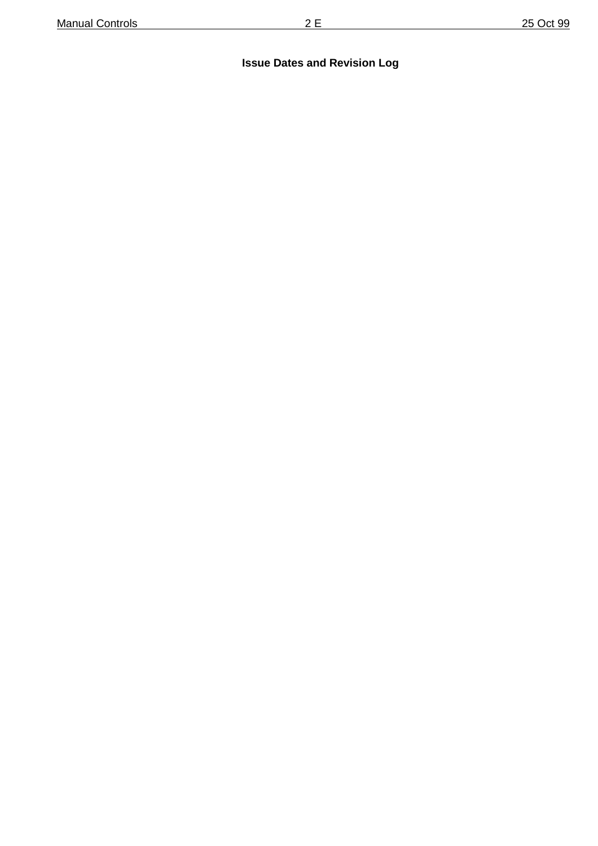# **Issue Dates and Revision Log**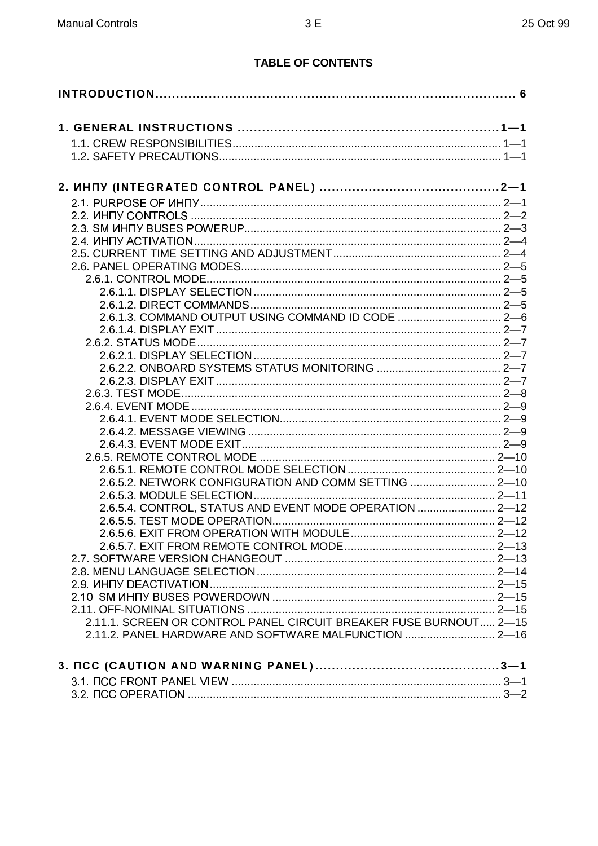# **TABLE OF CONTENTS**

| 2.6.1.3. COMMAND OUTPUT USING COMMAND ID CODE  2-6                |  |
|-------------------------------------------------------------------|--|
|                                                                   |  |
|                                                                   |  |
|                                                                   |  |
|                                                                   |  |
|                                                                   |  |
|                                                                   |  |
|                                                                   |  |
|                                                                   |  |
|                                                                   |  |
|                                                                   |  |
|                                                                   |  |
|                                                                   |  |
| 2.6.5.2. NETWORK CONFIGURATION AND COMM SETTING  2-10             |  |
|                                                                   |  |
| 2.6.5.4. CONTROL, STATUS AND EVENT MODE OPERATION  2-12           |  |
|                                                                   |  |
|                                                                   |  |
|                                                                   |  |
|                                                                   |  |
|                                                                   |  |
|                                                                   |  |
|                                                                   |  |
|                                                                   |  |
| 2.11.1. SCREEN OR CONTROL PANEL CIRCUIT BREAKER FUSE BURNOUT 2-15 |  |
| 2.11.2. PANEL HARDWARE AND SOFTWARE MALFUNCTION  2-16             |  |
|                                                                   |  |
|                                                                   |  |
|                                                                   |  |
|                                                                   |  |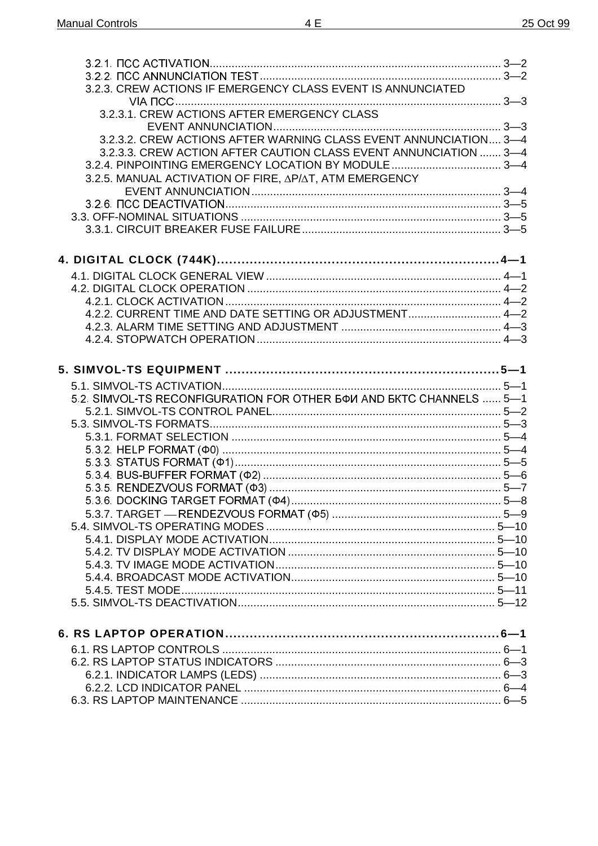| 3.2.3. CREW ACTIONS IF EMERGENCY CLASS EVENT IS ANNUNCIATED          |  |
|----------------------------------------------------------------------|--|
|                                                                      |  |
|                                                                      |  |
| 3.2.3.2. CREW ACTIONS AFTER WARNING CLASS EVENT ANNUNCIATION 3-4     |  |
| 3.2.3.3. CREW ACTION AFTER CAUTION CLASS EVENT ANNUNCIATION  3-4     |  |
|                                                                      |  |
| 3.2.5. MANUAL ACTIVATION OF FIRE, AP/AT, ATM EMERGENCY               |  |
|                                                                      |  |
|                                                                      |  |
|                                                                      |  |
|                                                                      |  |
|                                                                      |  |
|                                                                      |  |
|                                                                      |  |
|                                                                      |  |
|                                                                      |  |
| 4.2.2. CURRENT TIME AND DATE SETTING OR ADJUSTMENT 4-2               |  |
|                                                                      |  |
|                                                                      |  |
|                                                                      |  |
|                                                                      |  |
|                                                                      |  |
| 5.2. SIMVOL-TS RECONFIGURATION FOR OTHER 5 ФИ AND БКТС CHANNELS  5-1 |  |
|                                                                      |  |
|                                                                      |  |
|                                                                      |  |
|                                                                      |  |
|                                                                      |  |
|                                                                      |  |
|                                                                      |  |
|                                                                      |  |
|                                                                      |  |
|                                                                      |  |
|                                                                      |  |
|                                                                      |  |
|                                                                      |  |
|                                                                      |  |
|                                                                      |  |
|                                                                      |  |
|                                                                      |  |
|                                                                      |  |
|                                                                      |  |
|                                                                      |  |
|                                                                      |  |
|                                                                      |  |
|                                                                      |  |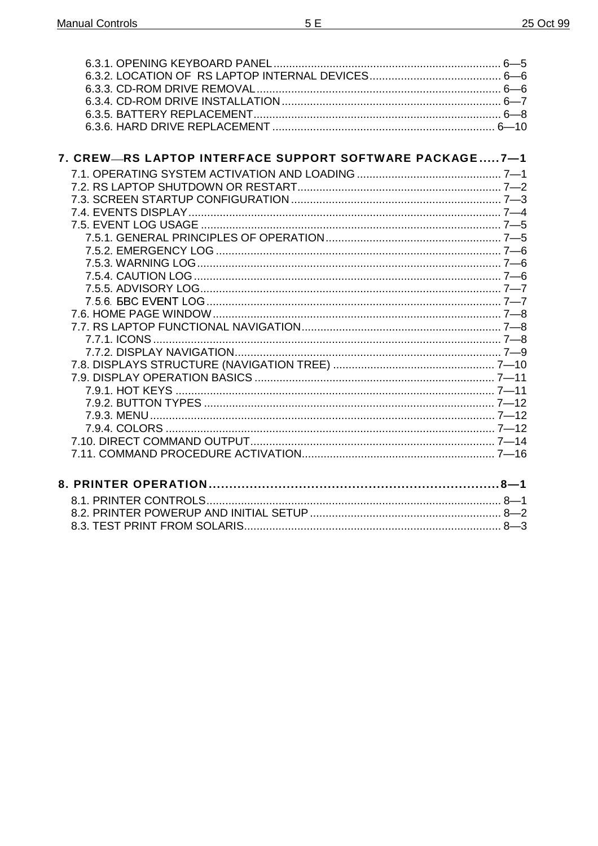| 7. CREW-RS LAPTOP INTERFACE SUPPORT SOFTWARE PACKAGE7-1 |  |
|---------------------------------------------------------|--|
|                                                         |  |
|                                                         |  |
|                                                         |  |
|                                                         |  |
|                                                         |  |
|                                                         |  |
|                                                         |  |
|                                                         |  |
|                                                         |  |
|                                                         |  |
|                                                         |  |
|                                                         |  |
|                                                         |  |
|                                                         |  |
|                                                         |  |
|                                                         |  |
|                                                         |  |
|                                                         |  |
|                                                         |  |
|                                                         |  |
|                                                         |  |
|                                                         |  |
|                                                         |  |
|                                                         |  |
|                                                         |  |
|                                                         |  |
|                                                         |  |
|                                                         |  |
|                                                         |  |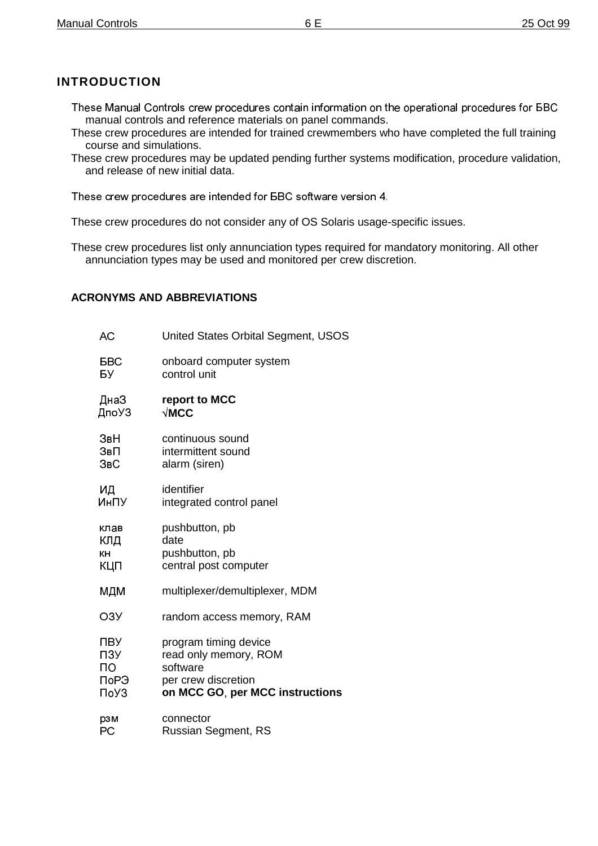# **INTRODUCTION**

- These Manual Controls crew procedures contain information on the operational procedures for BBC manual controls and reference materials on panel commands.
- These crew procedures are intended for trained crewmembers who have completed the full training course and simulations.
- These crew procedures may be updated pending further systems modification, procedure validation, and release of new initial data.

These crew procedures are intended for BBC software version 4.

These crew procedures do not consider any of OS Solaris usage-specific issues.

These crew procedures list only annunciation types required for mandatory monitoring. All other annunciation types may be used and monitored per crew discretion.

## **ACRONYMS AND ABBREVIATIONS**

| АC         | United States Orbital Segment, USOS |  |
|------------|-------------------------------------|--|
| <b>FBC</b> | onboard computer system             |  |
| БУ         | control unit                        |  |
| ДнаЗ       | report to MCC                       |  |
| ДпоУЗ      | $\sqrt{\textsf{MCC}}$               |  |
| ЗвН        | continuous sound                    |  |
| ЗвП        | intermittent sound                  |  |
| ЗвС        | alarm (siren)                       |  |
| ИД         | identifier                          |  |
| ИнПУ       | integrated control panel            |  |
| клав       | pushbutton, pb                      |  |
| клд        | date                                |  |
| КH         | pushbutton, pb                      |  |
| КЦП        | central post computer               |  |
| МДМ        | multiplexer/demultiplexer, MDM      |  |
| O3Y        | random access memory, RAM           |  |
| ПВУ        | program timing device               |  |
| ПЗУ        | read only memory, ROM               |  |
| ΠО         | software                            |  |
| ПоРЭ       | per crew discretion                 |  |
| ПоУЗ       | on MCC GO, per MCC instructions     |  |
| рзм        | connector                           |  |
| РC         | <b>Russian Segment, RS</b>          |  |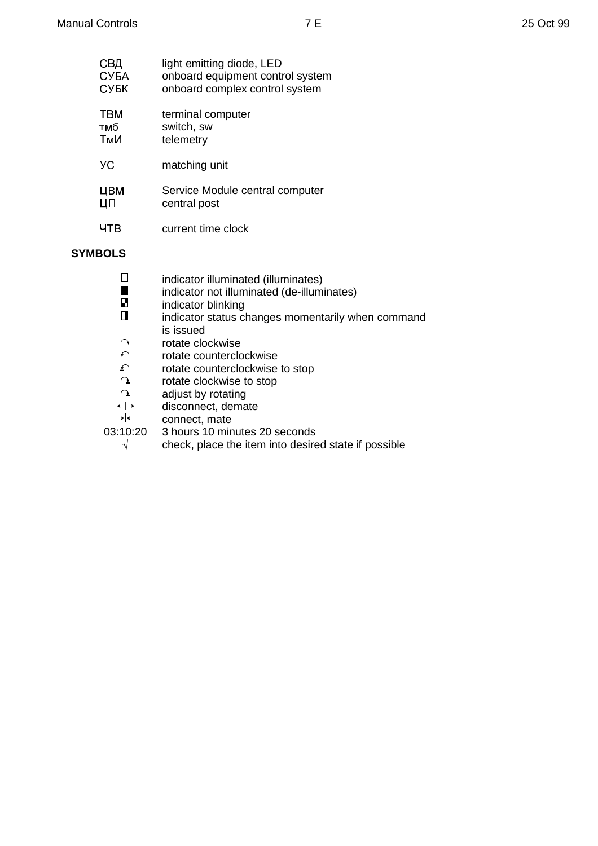| СВД  | light emitting diode, LED        |
|------|----------------------------------|
| СУБА | onboard equipment control system |
| СУБК | onboard complex control system   |
| твм  | terminal computer                |
| тмб  | switch, sw                       |
| ТмИ  | telemetry                        |
| УC   | matching unit                    |
| ЦВМ  | Service Module central computer  |
| ЦП   | central post                     |
| ЧTВ  | current time clock               |
|      |                                  |

### **SYMBOLS**

|                   | indicator illuminated (illuminates)               |
|-------------------|---------------------------------------------------|
|                   |                                                   |
|                   | indicator not illuminated (de-illuminates)        |
| Ю                 | indicator blinking                                |
|                   | indicator status changes momentarily when command |
|                   | is issued                                         |
| ↷                 | rotate clockwise                                  |
| $\curvearrowleft$ | rotate counterclockwise                           |
| ᡗ                 | rotate counterclockwise to stop                   |
| $\alpha$          | rotate clockwise to stop                          |
| $\Omega$          | adjust by rotating                                |
| $\leftrightarrow$ | disconnect, demate                                |
|                   |                                                   |

 $\rightarrow$   $\leftarrow$ connect, mate

03:10:20 3 hours 10 minutes 20 seconds

 $\sqrt{ }$  check, place the item into desired state if possible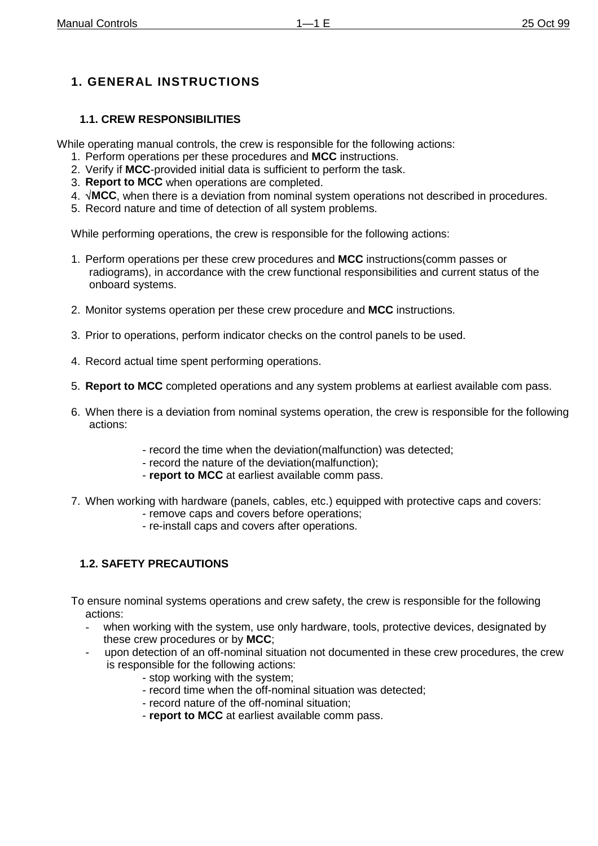# **1. GENERAL INSTRUCTIONS**

# **1.1. CREW RESPONSIBILITIES**

While operating manual controls, the crew is responsible for the following actions:

- 1. Perform operations per these procedures and **MCC** instructions.
- 2. Verify if **MCC**-provided initial data is sufficient to perform the task.
- 3. **Report to MCC** when operations are completed.
- 4. **MCC**, when there is a deviation from nominal system operations not described in procedures.
- 5. Record nature and time of detection of all system problems.

While performing operations, the crew is responsible for the following actions:

- 1. Perform operations per these crew procedures and **MCC** instructions(comm passes or radiograms), in accordance with the crew functional responsibilities and current status of the onboard systems.
- 2. Monitor systems operation per these crew procedure and **MCC** instructions.
- 3. Prior to operations, perform indicator checks on the control panels to be used.
- 4. Record actual time spent performing operations.
- 5. **Report to MCC** completed operations and any system problems at earliest available com pass.
- 6. When there is a deviation from nominal systems operation, the crew is responsible for the following actions:
	- record the time when the deviation(malfunction) was detected;
	- record the nature of the deviation(malfunction);
	- **report to MCC** at earliest available comm pass.
- 7. When working with hardware (panels, cables, etc.) equipped with protective caps and covers:
	- remove caps and covers before operations;
	- re-install caps and covers after operations.

# **1.2. SAFETY PRECAUTIONS**

To ensure nominal systems operations and crew safety, the crew is responsible for the following actions:

- when working with the system, use only hardware, tools, protective devices, designated by these crew procedures or by **MCC**;
- upon detection of an off-nominal situation not documented in these crew procedures, the crew is responsible for the following actions:
	- stop working with the system;
	- record time when the off-nominal situation was detected;
	- record nature of the off-nominal situation;
	- **report to MCC** at earliest available comm pass.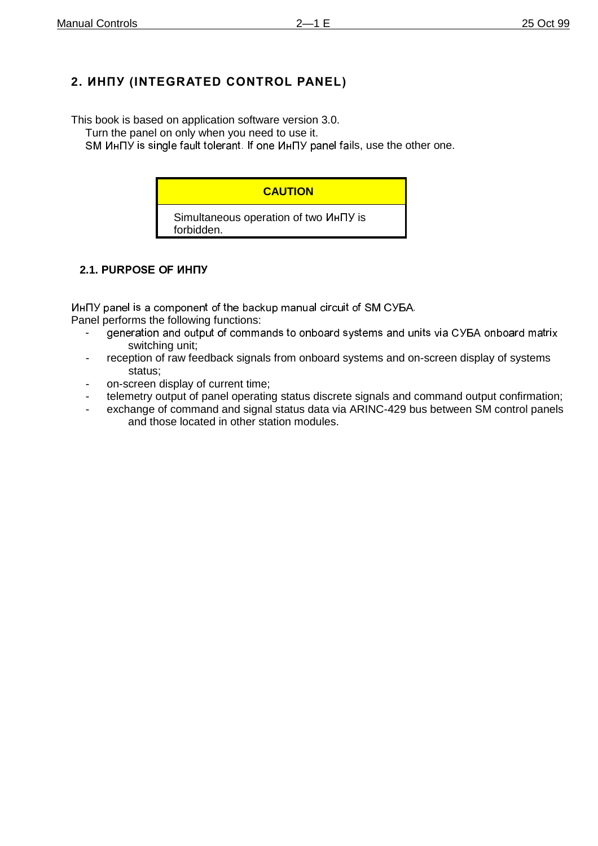# 2. WHNY (INTEGRATED CONTROL PANEL)

This book is based on application software version 3.0.

Turn the panel on only when you need to use it.

SM ИнПУ is single fault tolerant. If one ИнПУ panel fails, use the other one.

# **CAUTION**

Simultaneous operation of two  $M$ HTY is forbidden.

# **2.1. PURPOSE OF ИНПУ**

ИнПУ panel is a component of the backup manual circuit of SM СУБА.

Panel performs the following functions:

- generation and output of commands to onboard systems and units via CYEA onboard matrix switching unit;
- reception of raw feedback signals from onboard systems and on-screen display of systems status;
- on-screen display of current time;
- telemetry output of panel operating status discrete signals and command output confirmation;
- exchange of command and signal status data via ARINC-429 bus between SM control panels and those located in other station modules.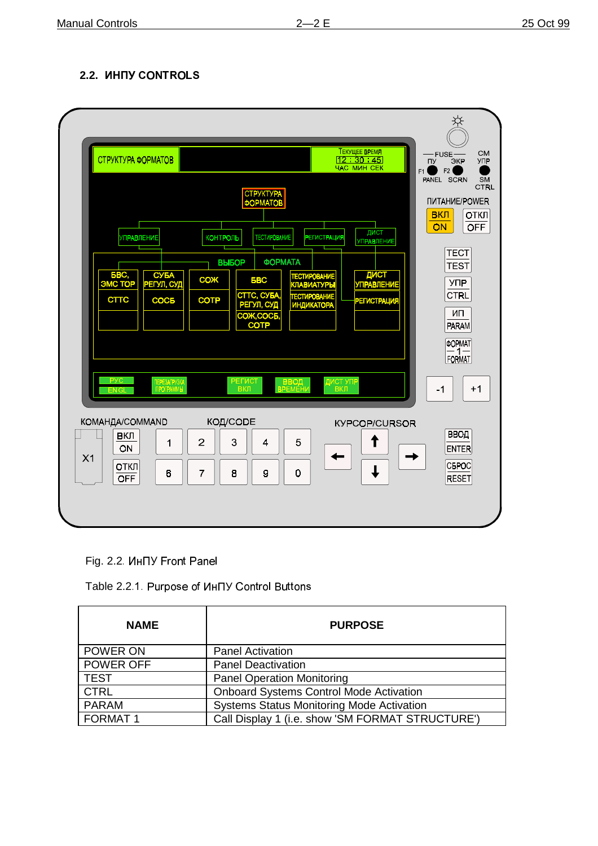# **2.2.**



Fig. 2.2. *UHHY* Front Panel

Table 2.2.1. Purpose of ИнПУ Control Buttons

| <b>NAME</b>    | <b>PURPOSE</b>                                   |  |
|----------------|--------------------------------------------------|--|
| POWER ON       | <b>Panel Activation</b>                          |  |
| POWER OFF      | <b>Panel Deactivation</b>                        |  |
| <b>TEST</b>    | <b>Panel Operation Monitoring</b>                |  |
| <b>CTRL</b>    | <b>Onboard Systems Control Mode Activation</b>   |  |
| <b>PARAM</b>   | <b>Systems Status Monitoring Mode Activation</b> |  |
| <b>FORMAT1</b> | Call Display 1 (i.e. show 'SM FORMAT STRUCTURE') |  |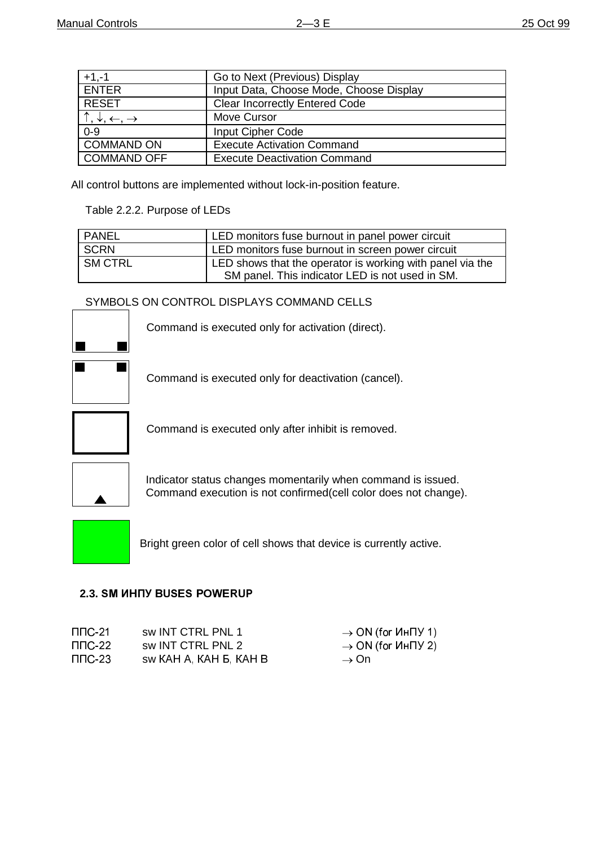| $+1,-1$                                        | Go to Next (Previous) Display           |
|------------------------------------------------|-----------------------------------------|
| <b>ENTER</b>                                   | Input Data, Choose Mode, Choose Display |
| <b>RESET</b>                                   | <b>Clear Incorrectly Entered Code</b>   |
| $ \uparrow,\downarrow,\leftarrow, \rightarrow$ | Move Cursor                             |
| $0 - 9$                                        | <b>Input Cipher Code</b>                |
| COMMAND ON                                     | <b>Execute Activation Command</b>       |
| COMMAND OFF                                    | <b>Execute Deactivation Command</b>     |

All control buttons are implemented without lock-in-position feature.

Table 2.2.2. Purpose of LEDs

| PANEL   | LED monitors fuse burnout in panel power circuit          |
|---------|-----------------------------------------------------------|
| I SCRN  | LED monitors fuse burnout in screen power circuit         |
| SM CTRL | LED shows that the operator is working with panel via the |
|         | SM panel. This indicator LED is not used in SM.           |

SYMBOLS ON CONTROL DISPLAYS COMMAND CELLS



Command is executed only for deactivation (cancel).

Command is executed only for activation (direct).



Command is executed only after inhibit is removed.



Indicator status changes momentarily when command is issued. Command execution is not confirmed(cell color does not change).

Bright green color of cell shows that device is currently active.

## **2.3. SM UHITY BUSES POWERUP**

| ППС-21. | sw INT CTRL PNL 1      | $\rightarrow$ ON (for $U \cap V$ 1) |
|---------|------------------------|-------------------------------------|
| ППС-22  | sw INT CTRL PNL 2      | $\rightarrow$ ON (for $U \cap V$ 2) |
| ППС-23  | SW KAH A, KAH B, KAH B | $\rightarrow$ On                    |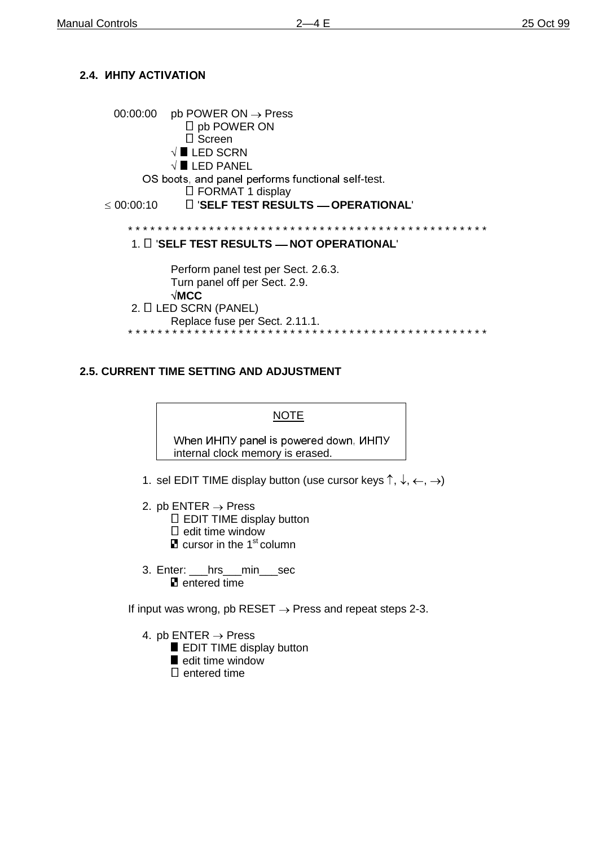# **2.4.**

| 00:00:00   | $pb$ POWER ON $\rightarrow$ Press<br>$\Box$ pb POWER ON<br>$\Box$ Screen<br>$\sqrt{\blacksquare}$ LED SCRN<br>$\sqrt{\blacksquare}$ LED PANEL<br>OS boots, and panel performs functional self-test.<br>$\Box$ FORMAT 1 display |
|------------|--------------------------------------------------------------------------------------------------------------------------------------------------------------------------------------------------------------------------------|
| ≤ 00:00:10 | □ 'SELF TEST RESULTS - OPERATIONAL'                                                                                                                                                                                            |
|            | 1. I I 'SELF TEST RESULTS — NOT OPERATIONAL'                                                                                                                                                                                   |
|            | Perform panel test per Sect. 2.6.3.<br>Turn panel off per Sect. 2.9.<br>$\sqrt{\textsf{MCC}}$<br>2. I LED SCRN (PANEL)<br>Replace fuse per Sect. 2.11.1.                                                                       |

### **2.5. CURRENT TIME SETTING AND ADJUSTMENT**

#### NOTE

When *UHITY* panel is powered down, *UHITY* internal clock memory is erased.

- 1. sel EDIT TIME display button (use cursor keys  $\uparrow, \downarrow, \leftarrow, \rightarrow)$
- 2. pb ENTER  $\rightarrow$  Press
	- $\square$  EDIT TIME display button
	- $\square$  edit time window
	- $\blacksquare$  cursor in the 1<sup>st</sup> column
- 3. Enter: \_\_\_hrs\_\_\_min\_\_\_sec **E** entered time

If input was wrong, pb RESET  $\rightarrow$  Press and repeat steps 2-3.

- 4. pb ENTER  $\rightarrow$  Press
	- **EDIT TIME display button**
	- edit time window
	- $\square$  entered time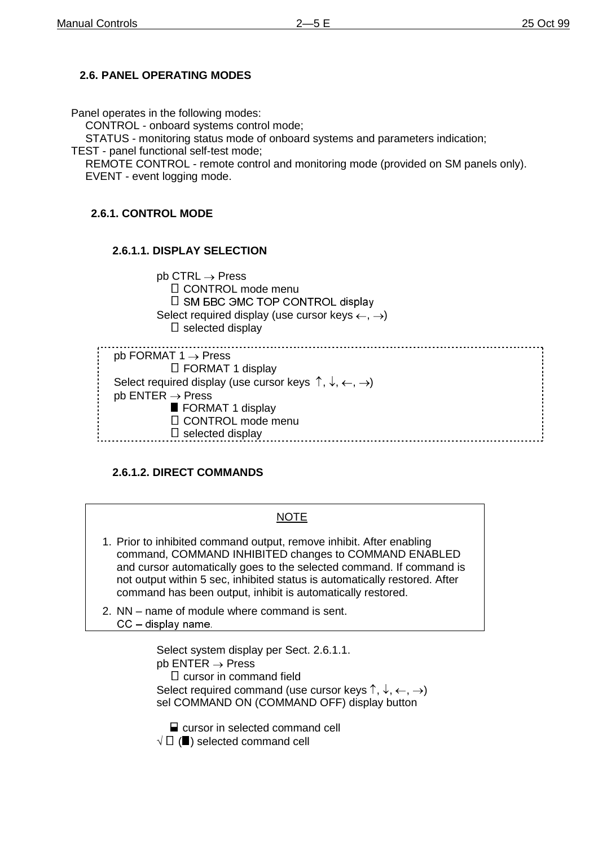# **2.6. PANEL OPERATING MODES**

Panel operates in the following modes:

CONTROL - onboard systems control mode;

STATUS - monitoring status mode of onboard systems and parameters indication;

TEST - panel functional self-test mode;

REMOTE CONTROL - remote control and monitoring mode (provided on SM panels only). EVENT - event logging mode.

## **2.6.1. CONTROL MODE**

#### **2.6.1.1. DISPLAY SELECTION**

 $pb$  CTRL  $\rightarrow$  Press CONTROL mode menu  $\square$  SM EBC 3MC TOP CONTROL display Select required display (use cursor keys  $\leftarrow, \rightarrow$ )  $\square$  selected display . . . . . . . . . . . . . . . pb FORMAT  $1 \rightarrow$  Press □ FORMAT 1 display Select required display (use cursor keys  $\uparrow, \downarrow, \leftarrow, \rightarrow$ )

 $pb$  ENTER  $\rightarrow$  Press

FORMAT 1 display CONTROL mode menu

selected display

## **2.6.1.2. DIRECT COMMANDS**

#### NOTE

- 1. Prior to inhibited command output, remove inhibit. After enabling command, COMMAND INHIBITED changes to COMMAND ENABLED and cursor automatically goes to the selected command. If command is not output within 5 sec, inhibited status is automatically restored. After command has been output, inhibit is automatically restored.
- 2. NN name of module where command is sent.  $CC -$  display name.

Select system display per Sect. 2.6.1.1.  $pb$  ENTER  $\rightarrow$  Press  $\square$  cursor in command field Select required command (use cursor keys  $\uparrow, \downarrow, \leftarrow, \rightarrow$ ) sel COMMAND ON (COMMAND OFF) display button

■ cursor in selected command cell  $\forall\;\Box$  ( $\blacksquare$ ) selected command cell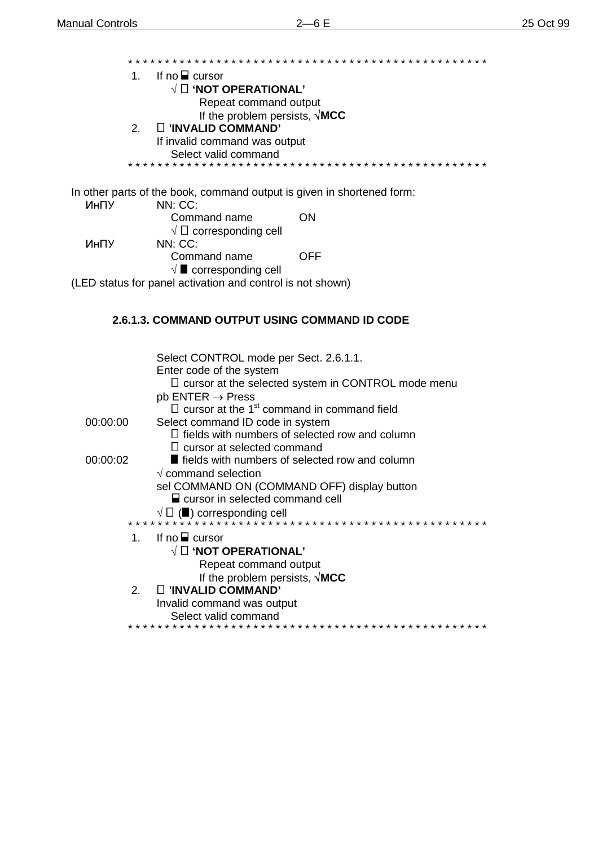If no  $\blacksquare$  cursor  $1.$  $\sqrt{2}$  'NOT OPERATIONAL' Repeat command output If the problem persists,  $\sqrt{\text{MCC}}$ □ 'INVALID COMMAND'  $2.$ If invalid command was output Select valid command \* \* \* \* \* \* In other parts of the book, command output is given in shortened form: ИнПУ NN: CC: Command name **ON**  $\sqrt{\Box}$  corresponding cell ИнПУ NN: CC: Command name **OFF**  $\sqrt{\blacksquare}$  corresponding cell (LED status for panel activation and control is not shown)

#### 2.6.1.3. COMMAND OUTPUT USING COMMAND ID CODE

|                | Select CONTROL mode per Sect. 2.6.1.1.                        |
|----------------|---------------------------------------------------------------|
|                | Enter code of the system                                      |
|                | $\sqcup$ cursor at the selected system in CONTROL mode menu   |
|                | $pb$ ENTER $\rightarrow$ Press                                |
|                | $\Box$ cursor at the 1 <sup>st</sup> command in command field |
| 00:00:00       | Select command ID code in system                              |
|                | $\Box$ fields with numbers of selected row and column         |
|                | $\Box$ cursor at selected command                             |
| 00:00:02       | <b>fields with numbers of selected row and column</b>         |
|                | $\sqrt{ }$ command selection                                  |
|                | sel COMMAND ON (COMMAND OFF) display button                   |
|                | $\Box$ cursor in selected command cell                        |
|                | $\sqrt{\Box}$ ( $\blacksquare$ ) corresponding cell           |
|                |                                                               |
| 1.             | If no $\blacksquare$ cursor                                   |
|                | $\sqrt{2}$ 'NOT OPERATIONAL'                                  |
|                | Repeat command output                                         |
|                | If the problem persists, $\sqrt{\text{MCC}}$                  |
| 2 <sub>1</sub> | $\Box$ 'INVALID COMMAND'                                      |
|                | Invalid command was output                                    |
|                | Select valid command                                          |
|                |                                                               |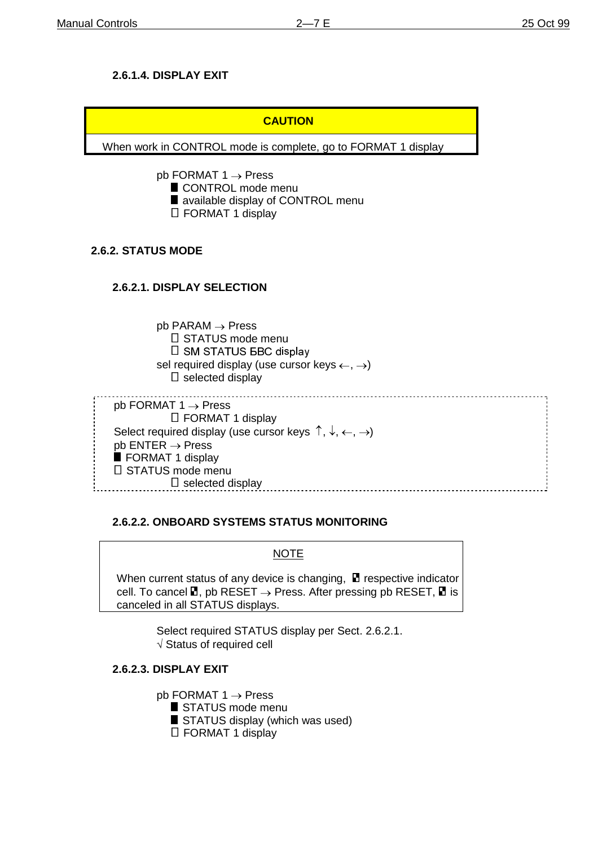# **2.6.1.4. DISPLAY EXIT**

# **CAUTION**

When work in CONTROL mode is complete, go to FORMAT 1 display

pb FORMAT  $1 \rightarrow$  Press

- CONTROL mode menu
- **u** available display of CONTROL menu
- □ FORMAT 1 display

# **2.6.2. STATUS MODE**

# **2.6.2.1. DISPLAY SELECTION**

 $pb$  PARAM  $\rightarrow$  Press  $\square$  STATUS mode menu  $\square$  SM STATUS BBC display sel required display (use cursor keys  $\leftarrow, \rightarrow$ )  $\square$  selected display

| $pb$ FORMAT 1 $\rightarrow$ Press                                                          |  |
|--------------------------------------------------------------------------------------------|--|
| $\Box$ FORMAT 1 display                                                                    |  |
| Select required display (use cursor keys $\uparrow, \downarrow, \leftarrow, \rightarrow$ ) |  |
| $pb$ ENTER $\rightarrow$ Press                                                             |  |
| FORMAT 1 display                                                                           |  |
| $\Box$ STATUS mode menu                                                                    |  |
| $\Box$ selected display                                                                    |  |
|                                                                                            |  |

## **2.6.2.2. ONBOARD SYSTEMS STATUS MONITORING**

## **NOTE**

When current status of any device is changing,  $\blacksquare$  respective indicator cell. To cancel  $\Box$ , pb RESET  $\rightarrow$  Press. After pressing pb RESET,  $\Box$  is canceled in all STATUS displays.

> Select required STATUS display per Sect. 2.6.2.1.  $\sqrt{ }$  Status of required cell

## **2.6.2.3. DISPLAY EXIT**

pb FORMAT  $1 \rightarrow$  Press STATUS mode menu STATUS display (which was used)

□ FORMAT 1 display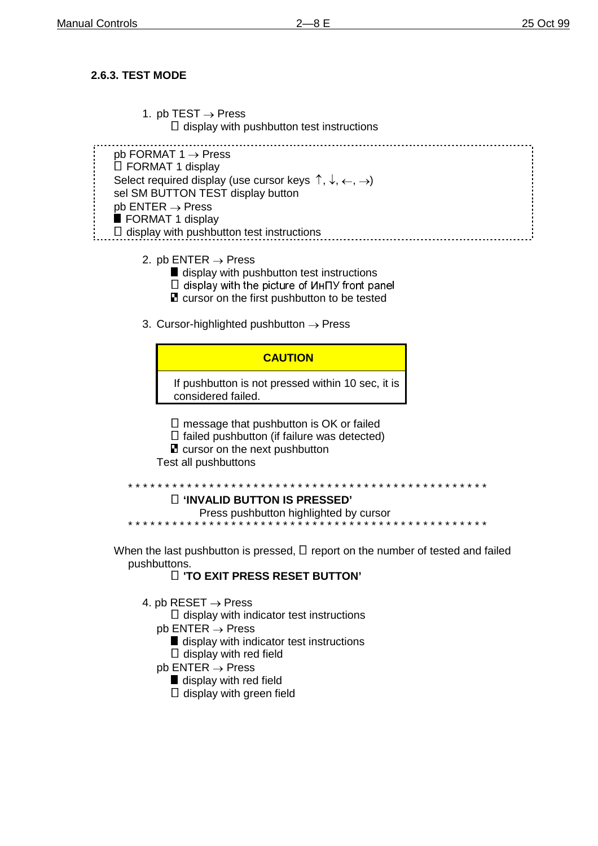### **2.6.3. TEST MODE**

- 1. pb TEST  $\rightarrow$  Press
	- $\Box$  display with pushbutton test instructions

pb FORMAT 1 Press □ FORMAT 1 display Select required display (use cursor keys  $\uparrow, \downarrow, \leftarrow, \rightarrow$ ) sel SM BUTTON TEST display button  $pb$  ENTER  $\rightarrow$  Press **FORMAT 1 display**  $\Box$  display with pushbutton test instructions

- 2. pb ENTER  $\rightarrow$  Press
	- display with pushbutton test instructions
	- $\square$  display with the picture of  $M$ H $\neg$  front panel
	- **n** cursor on the first pushbutton to be tested
- 3. Cursor-highlighted pushbutton  $\rightarrow$  Press

### **CAUTION**

If pushbutton is not pressed within 10 sec, it is considered failed.

- $\square$  message that pushbutton is OK or failed
- $\Box$  failed pushbutton (if failure was detected)
- **E** cursor on the next pushbutton

Test all pushbuttons

```
* * * * * * * * * * * * * * * * * * * * * * * * * * * * * * * * * * * * * * * * * * * * * * * * *
```
#### **'INVALID BUTTON IS PRESSED'**

Press pushbutton highlighted by cursor

\* \* \* \* \* \* \* \* \* \* \* \* \* \* \* \* \* \* \* \* \* \* \* \* \* \* \* \* \* \* \* \* \* \* \* \* \* \* \* \* \* \* \* \* \* \* \* \* \*

When the last pushbutton is pressed,  $\Box$  report on the number of tested and failed pushbuttons.

#### **'TO EXIT PRESS RESET BUTTON'**

4. pb RESET  $\rightarrow$  Press

 $\Box$  display with indicator test instructions

- $pb$  ENTER  $\rightarrow$  Press
	- **display with indicator test instructions**  $\Box$  display with red field
- $pb$  ENTER  $\rightarrow$  Press
	- display with red field
	- $\Box$  display with green field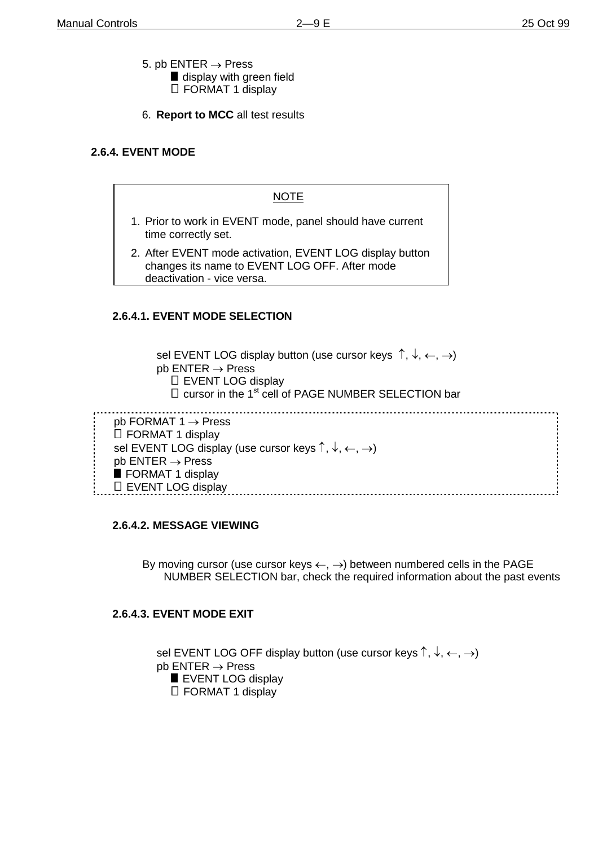- 5. pb  $ENTER \rightarrow Press$ display with green field FORMAT 1 display
- 6. **Report to MCC** all test results

# **2.6.4. EVENT MODE**

### **NOTE**

- 1. Prior to work in EVENT mode, panel should have current time correctly set.
- 2. After EVENT mode activation, EVENT LOG display button changes its name to EVENT LOG OFF. After mode deactivation - vice versa.

## **2.6.4.1. EVENT MODE SELECTION**

sel EVENT LOG display button (use cursor keys  $\uparrow, \downarrow, \leftarrow, \rightarrow$ )  $pb$  ENTER  $\rightarrow$  Press □ EVENT LOG display  $\Box$  cursor in the 1<sup>st</sup> cell of PAGE NUMBER SELECTION bar pb FORMAT  $1 \rightarrow$  Press  $\overline{\Pi}$  FORMAT 1 display

| L FUNIVIAT I UISPIAV                                                                      |  |
|-------------------------------------------------------------------------------------------|--|
| sel EVENT LOG display (use cursor keys $\uparrow, \downarrow, \leftarrow, \rightarrow)$ ) |  |
| $pb$ ENTER $\rightarrow$ Press                                                            |  |
| FORMAT 1 display                                                                          |  |
| $\Box$ EVENT LOG display                                                                  |  |
|                                                                                           |  |

## **2.6.4.2. MESSAGE VIEWING**

By moving cursor (use cursor keys  $\leftarrow$ ,  $\rightarrow$ ) between numbered cells in the PAGE NUMBER SELECTION bar, check the required information about the past events

## **2.6.4.3. EVENT MODE EXIT**

sel EVENT LOG OFF display button (use cursor keys  $\uparrow, \downarrow, \leftarrow, \rightarrow$ )  $pb$  ENTER  $\rightarrow$  Press **EVENT LOG display** □ FORMAT 1 display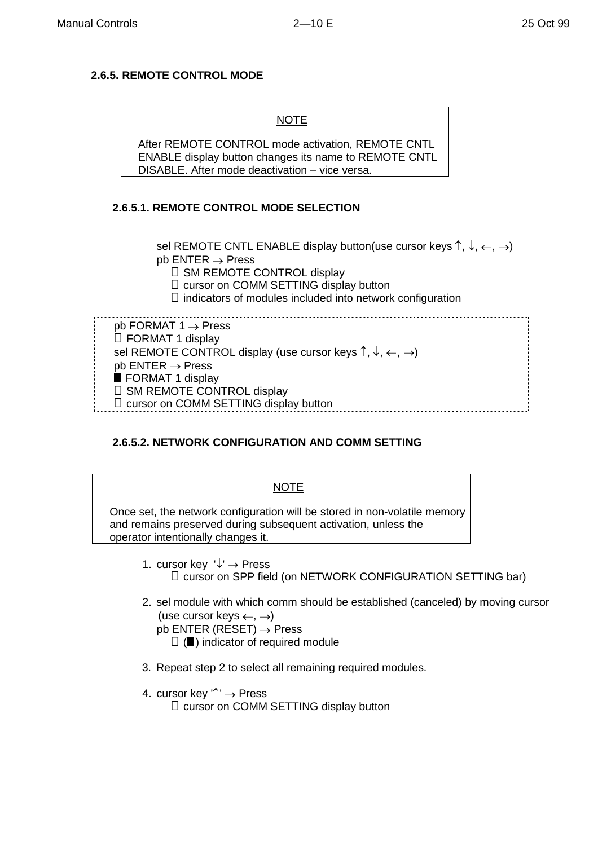# **2.6.5. REMOTE CONTROL MODE**

NOTE

After REMOTE CONTROL mode activation, REMOTE CNTL ENABLE display button changes its name to REMOTE CNTL DISABLE. After mode deactivation – vice versa.

### **2.6.5.1. REMOTE CONTROL MODE SELECTION**

sel REMOTE CNTL ENABLE display button(use cursor keys  $\uparrow, \downarrow, \leftarrow, \rightarrow)$  $pb$  ENTER  $\rightarrow$  Press

 $\square$  SM REMOTE CONTROL display

□ cursor on COMM SETTING display button

 $\Box$  indicators of modules included into network configuration

pb FORMAT  $1 \rightarrow$  Press □ FORMAT 1 display sel REMOTE CONTROL display (use cursor keys  $\uparrow, \downarrow, \leftarrow, \rightarrow$ )  $pb$  ENTER  $\rightarrow$  Press **FORMAT 1 display**  $\square$  SM REMOTE CONTROL display □ cursor on COMM SETTING display button 

## **2.6.5.2. NETWORK CONFIGURATION AND COMM SETTING**

| <b>NOTE</b>                                                                                                                                                                                                                         |  |
|-------------------------------------------------------------------------------------------------------------------------------------------------------------------------------------------------------------------------------------|--|
| Once set, the network configuration will be stored in non-volatile memory<br>and remains preserved during subsequent activation, unless the<br>operator intentionally changes it.                                                   |  |
| 1. cursor key $\forall$ $\rightarrow$ Press<br>□ cursor on SPP field (on NETWORK CONFIGURATION SETTING bar)                                                                                                                         |  |
| 2. sel module with which comm should be established (canceled) by moving cursor<br>(use cursor keys $\leftarrow, \rightarrow$ )<br>$pb$ ENTER (RESET) $\rightarrow$ Press<br>$\Box$ ( $\blacksquare$ ) indicator of required module |  |
| 3. Repeat step 2 to select all remaining required modules.                                                                                                                                                                          |  |
| 4. cursor key $\uparrow$ $\rightarrow$ Press                                                                                                                                                                                        |  |

 $\square$  cursor on COMM SETTING display button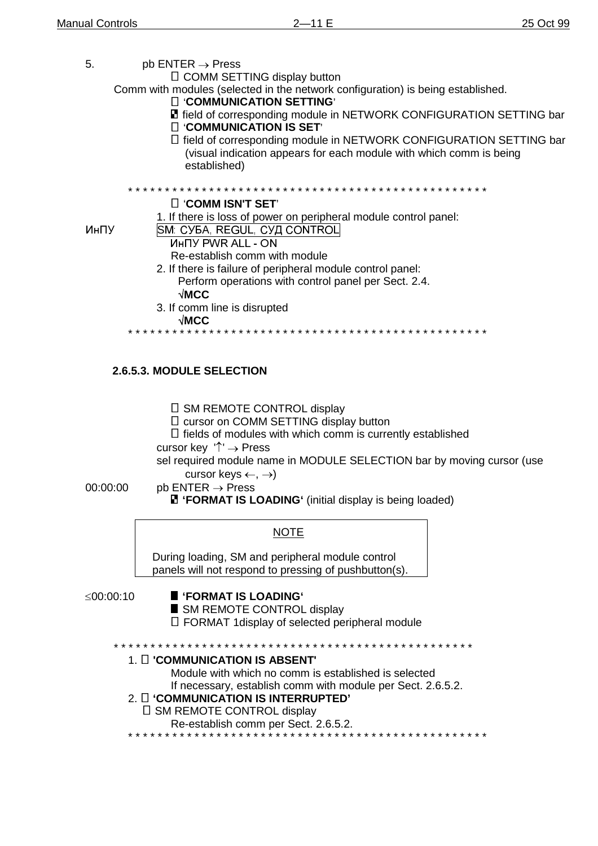| 5.        | $pb$ ENTER $\rightarrow$ Press<br>□ COMM SETTING display button<br>Comm with modules (selected in the network configuration) is being established.<br>□ 'COMMUNICATION SETTING'<br><b>E</b> field of corresponding module in NETWORK CONFIGURATION SETTING bar<br>□ 'COMMUNICATION IS SET'<br>□ field of corresponding module in NETWORK CONFIGURATION SETTING bar<br>(visual indication appears for each module with which comm is being<br>established) |
|-----------|-----------------------------------------------------------------------------------------------------------------------------------------------------------------------------------------------------------------------------------------------------------------------------------------------------------------------------------------------------------------------------------------------------------------------------------------------------------|
|           |                                                                                                                                                                                                                                                                                                                                                                                                                                                           |
| ИнПУ      | □ 'COMM ISN'T SET'<br>1. If there is loss of power on peripheral module control panel:<br>SM: СУБА, REGUL, СУД CONTROL<br><b><i>UHITY PWR ALL - ON</i></b><br>Re-establish comm with module<br>2. If there is failure of peripheral module control panel:<br>Perform operations with control panel per Sect. 2.4.<br>$\sqrt{\text{MCC}}$<br>3. If comm line is disrupted                                                                                  |
|           | √MCC                                                                                                                                                                                                                                                                                                                                                                                                                                                      |
| 00:00:00  | 2.6.5.3. MODULE SELECTION<br>$\Box$ SM REMOTE CONTROL display<br>□ cursor on COMM SETTING display button<br>$\Box$ fields of modules with which comm is currently established<br>cursor key $'\uparrow' \rightarrow$ Press<br>sel required module name in MODULE SELECTION bar by moving cursor (use<br>cursor keys $\leftarrow, \rightarrow$<br>$pb$ ENTER $\rightarrow$ Press                                                                           |
|           | <b>E</b> 'FORMAT IS LOADING' (initial display is being loaded)                                                                                                                                                                                                                                                                                                                                                                                            |
|           | <b>NOTE</b><br>During loading, SM and peripheral module control<br>panels will not respond to pressing of pushbutton(s).                                                                                                                                                                                                                                                                                                                                  |
| ≤00:00:10 | <b>FORMAT IS LOADING'</b><br>SM REMOTE CONTROL display<br>$\Box$ FORMAT 1 display of selected peripheral module                                                                                                                                                                                                                                                                                                                                           |
|           | 1. O 'COMMUNICATION IS ABSENT'<br>Module with which no comm is established is selected<br>If necessary, establish comm with module per Sect. 2.6.5.2.<br>2. O 'COMMUNICATION IS INTERRUPTED'                                                                                                                                                                                                                                                              |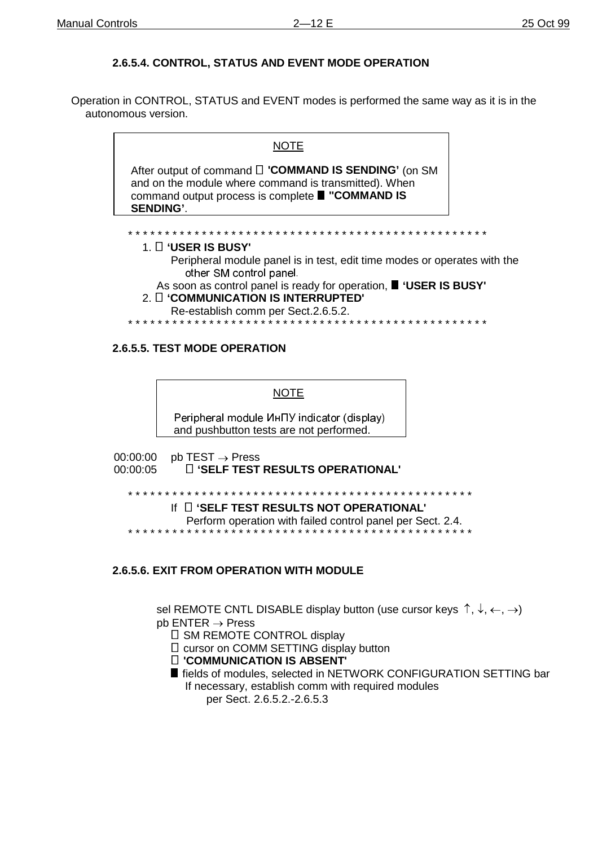# 2.6.5.4. CONTROL, STATUS AND EVENT MODE OPERATION

Operation in CONTROL, STATUS and EVENT modes is performed the same way as it is in the autonomous version.

> <u>NOTE</u> After output of command [] 'COMMAND IS SENDING' (on SM and on the module where command is transmitted). When command output process is complete ■ "COMMAND IS **SENDING'.** 1. 0 'USER IS BUSY' Peripheral module panel is in test, edit time modes or operates with the other SM control panel. As soon as control panel is ready for operation, " 'USER IS BUSY' 2. [ 'COMMUNICATION IS INTERRUPTED' Re-establish comm per Sect.2.6.5.2. . . . . . . . . . . . . .

#### 2.6.5.5. TEST MODE OPERATION

**NOTE** 

Peripheral module *MHTY* indicator (display) and pushbutton tests are not performed.

00:00:00  $pb$  TEST  $\rightarrow$  Press **ID 'SELF TEST RESULTS OPERATIONAL'** 00:00:05

If  $\prod$  'SELF TEST RESULTS NOT OPERATIONAL'

Perform operation with failed control panel per Sect. 2.4.

#### **2.6.5.6. EXIT FROM OPERATION WITH MODULE**

sel REMOTE CNTL DISABLE display button (use cursor keys  $\uparrow, \downarrow, \leftarrow, \rightarrow$ )  $bb$  ENTER  $\rightarrow$  Press

□ SM REMOTE CONTROL display

□ cursor on COMM SETTING display button

**T** 'COMMUNICATION IS ABSENT'

■ fields of modules, selected in NETWORK CONFIGURATION SETTING bar If necessary, establish comm with required modules per Sect. 2.6.5.2.-2.6.5.3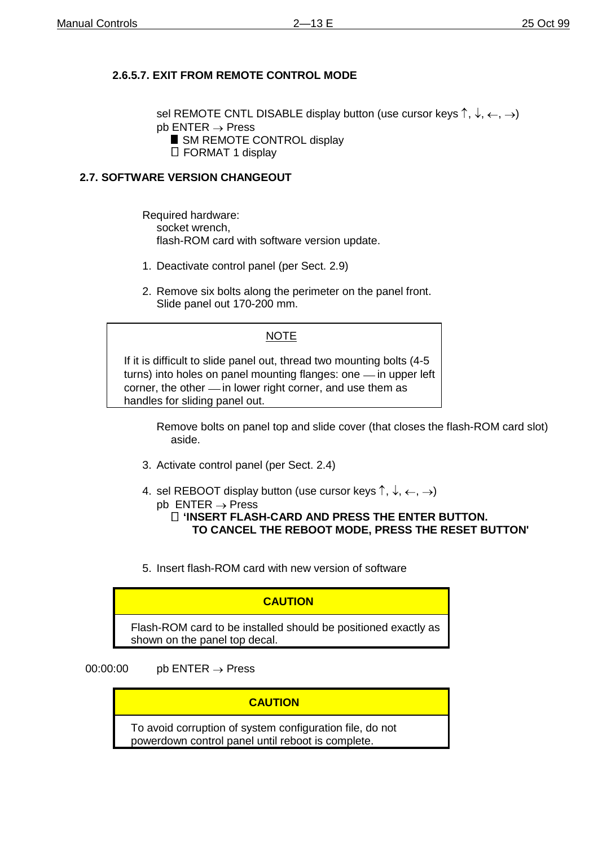# **2.6.5.7. EXIT FROM REMOTE CONTROL MODE**

sel REMOTE CNTL DISABLE display button (use cursor keys  $\uparrow, \downarrow, \leftarrow, \rightarrow)$ )  $pb$  ENTER  $\rightarrow$  Press SM REMOTE CONTROL display □ FORMAT 1 display

### **2.7. SOFTWARE VERSION CHANGEOUT**

- Required hardware: socket wrench, flash-ROM card with software version update.
- 1. Deactivate control panel (per Sect. 2.9)
- 2. Remove six bolts along the perimeter on the panel front. Slide panel out 170-200 mm.

#### NOTE

If it is difficult to slide panel out, thread two mounting bolts (4-5 turns) into holes on panel mounting flanges: one - in upper left corner, the other - in lower right corner, and use them as handles for sliding panel out.

> Remove bolts on panel top and slide cover (that closes the flash-ROM card slot) aside.

- 3. Activate control panel (per Sect. 2.4)
- 4. sel REBOOT display button (use cursor keys  $\uparrow, \downarrow, \leftarrow, \rightarrow)$ )
	- $pb$  ENTER  $\rightarrow$  Press

 **'INSERT FLASH-CARD AND PRESS THE ENTER BUTTON. TO CANCEL THE REBOOT MODE, PRESS THE RESET BUTTON'**

5. Insert flash-ROM card with new version of software

## **CAUTION**

Flash-ROM card to be installed should be positioned exactly as shown on the panel top decal.

### 00:00:00 pb  $ENTER \rightarrow Press$

#### **CAUTION**

To avoid corruption of system configuration file, do not powerdown control panel until reboot is complete.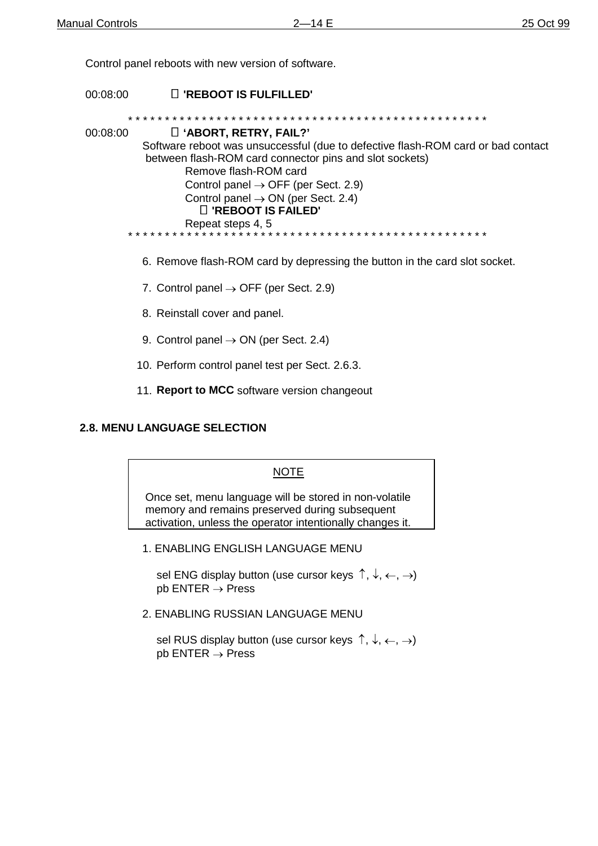Control panel reboots with new version of software.

00:08:00 **'REBOOT IS FULFILLED'** \* \* \* \* \* \* \* \* \* \* \* \* \* \* \* \* \* \* \* \* \* \* \* \* \* \* \* \* \* \* \* \* \* \* \* \* \* \* \* \* \* \* \* \* \* \* \* \* \* 00:08:00 **'ABORT, RETRY, FAIL?'** Software reboot was unsuccessful (due to defective flash-ROM card or bad contact between flash-ROM card connector pins and slot sockets) Remove flash-ROM card Control panel  $\rightarrow$  OFF (per Sect. 2.9) Control panel  $\rightarrow$  ON (per Sect. 2.4) **'REBOOT IS FAILED'** Repeat steps 4, 5 \* \* \* \* \* \* \* \* \* \* \* \* \* \* \* \* \* \* \* \* \* \* \* \* \* \* \* \* \* \* \* \* \* \* \* \* \* \* \* \* \* \* \* \* \* \* \* \* \*

- 6. Remove flash-ROM card by depressing the button in the card slot socket.
- 7. Control panel  $\rightarrow$  OFF (per Sect. 2.9)
- 8. Reinstall cover and panel.
- 9. Control panel  $\rightarrow$  ON (per Sect. 2.4)
- 10. Perform control panel test per Sect. 2.6.3.
- 11. **Report to MCC** software version changeout

#### **2.8. MENU LANGUAGE SELECTION**

#### NOTE

Once set, menu language will be stored in non-volatile memory and remains preserved during subsequent activation, unless the operator intentionally changes it.

1. ENABLING ENGLISH LANGUAGE MENU

sel ENG display button (use cursor keys  $\uparrow, \downarrow, \leftarrow, \rightarrow)$  $pb$  ENTER  $\rightarrow$  Press

2. ENABLING RUSSIAN LANGUAGE MENU

sel RUS display button (use cursor keys  $\uparrow, \downarrow, \leftarrow, \rightarrow$ )  $pb$  ENTER  $\rightarrow$  Press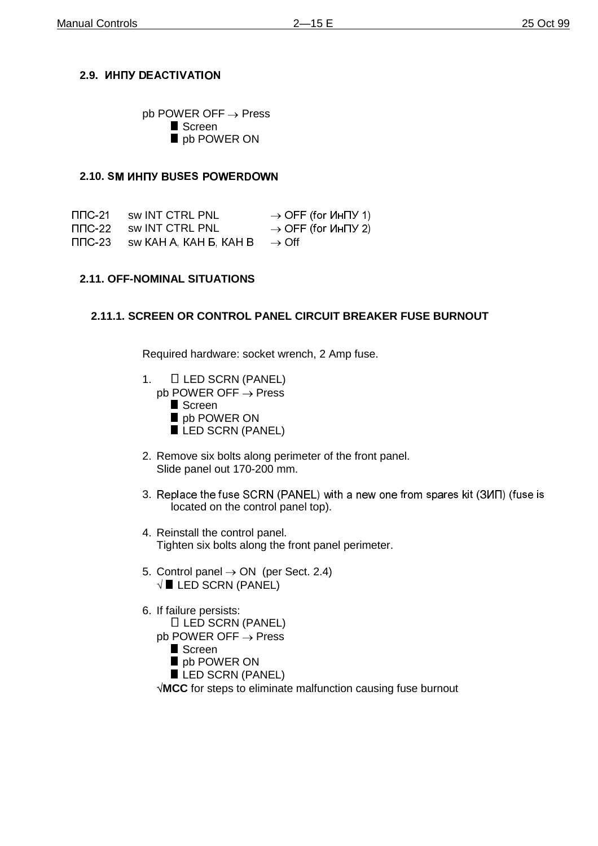# **2.9. WHITY DEACTIVATION**

 $pb$  POWER OFF  $\rightarrow$  Press **Screen** pb POWER ON

#### **2.10. SM UHITY BUSES POWERDOWN**

 $\Pi$ DC-21  $1 \quad$  sw INT CTRL PNL  $\rightarrow$  OFF (for  $M$ H $\Pi$ Y 1)  $\Pi$  TC-22 sw INT CTRL PNL  $\rightarrow$  OFF (for  $U$ HTV 2)<br>  $\Pi$  TC-23 sw KAH A. KAH B. KAH B  $\rightarrow$  Off  $sw$  KAH A, KAH B, KAH B  $\rightarrow$  Off

### **2.11. OFF-NOMINAL SITUATIONS**

### **2.11.1. SCREEN OR CONTROL PANEL CIRCUIT BREAKER FUSE BURNOUT**

Required hardware: socket wrench, 2 Amp fuse.

- 1. **LED SCRN (PANEL)**  $pb$  POWER OFF  $\rightarrow$  Press
	- **Screen**
	- pb POWER ON
	- LED SCRN (PANEL)
- 2. Remove six bolts along perimeter of the front panel. Slide panel out 170-200 mm.
- 3. Replace the fuse SCRN (PANEL) with a new one from spares kit (3ИП) (fuse is located on the control panel top).
- 4. Reinstall the control panel. Tighten six bolts along the front panel perimeter.
- 5. Control panel  $\rightarrow$  ON (per Sect. 2.4)  $\sqrt{\blacksquare}$  LED SCRN (PANEL)
- 6. If failure persists: LED SCRN (PANEL)  $pb$  POWER OFF  $\rightarrow$  Press
	- **Screen**
	- pb POWER ON
	- LED SCRN (PANEL)

**MCC** for steps to eliminate malfunction causing fuse burnout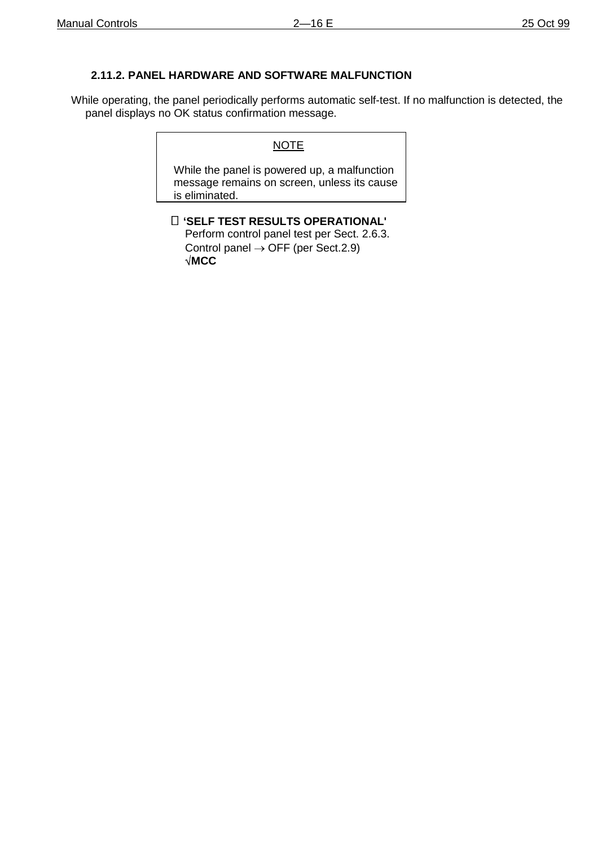## **2.11.2. PANEL HARDWARE AND SOFTWARE MALFUNCTION**

While operating, the panel periodically performs automatic self-test. If no malfunction is detected, the panel displays no OK status confirmation message.

#### **NOTE**

While the panel is powered up, a malfunction message remains on screen, unless its cause is eliminated.

 **'SELF TEST RESULTS OPERATIONAL'** Perform control panel test per Sect. 2.6.3. Control panel  $\rightarrow$  OFF (per Sect.2.9) **MCC**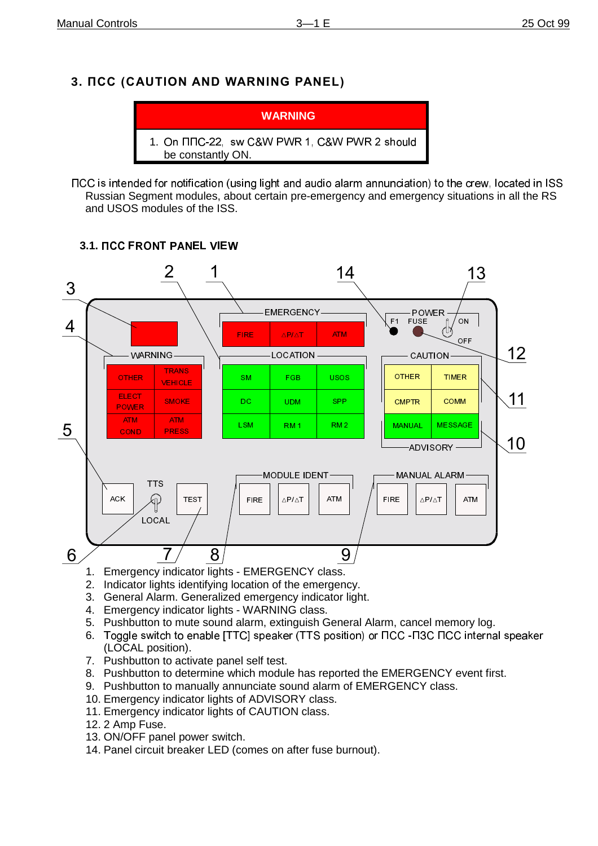# **3. NCC (CAUTION AND WARNING PANEL)**



TCC is intended for notification (using light and audio alarm annunciation) to the crew, located in ISS Russian Segment modules, about certain pre-emergency and emergency situations in all the RS and USOS modules of the ISS.

### **3.1.**



- 1. Emergency indicator lights EMERGENCY class.
- 2. Indicator lights identifying location of the emergency.
- 3. General Alarm. Generalized emergency indicator light.
- 4. Emergency indicator lights WARNING class.
- 5. Pushbutton to mute sound alarm, extinguish General Alarm, cancel memory log.
- 6. Toggle switch to enable [TTC] speaker (TTS position) or  $\Pi CC$   $\Pi 3C \Pi CC$  internal speaker (LOCAL position).
- 7. Pushbutton to activate panel self test.
- 8. Pushbutton to determine which module has reported the EMERGENCY event first.
- 9. Pushbutton to manually annunciate sound alarm of EMERGENCY class.
- 10. Emergency indicator lights of ADVISORY class.
- 11. Emergency indicator lights of CAUTION class.
- 12. 2 Amp Fuse.
- 13. ON/OFF panel power switch.
- 14. Panel circuit breaker LED (comes on after fuse burnout).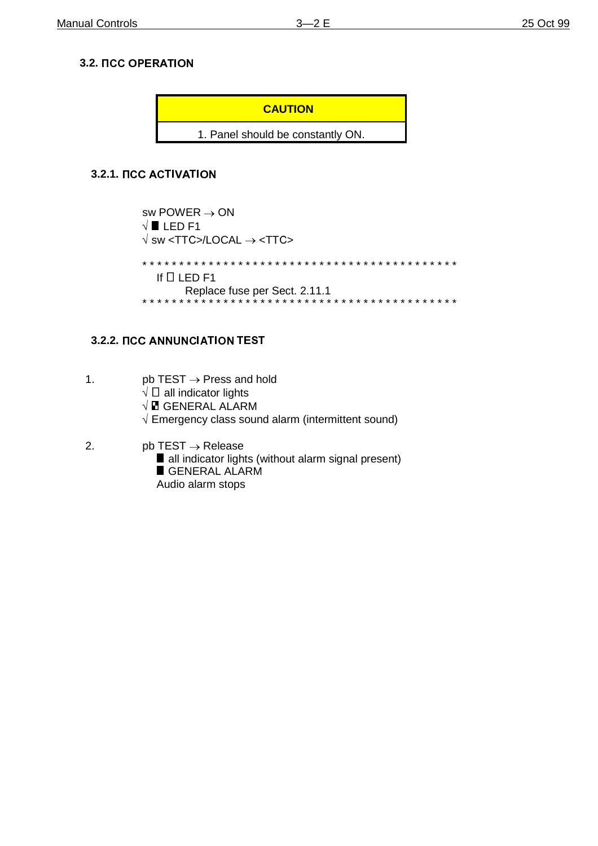# **3.2.**

**CAUTION**

1. Panel should be constantly ON.

# **3.2.1.**

sw POWER  $\rightarrow$  ON  $\sqrt{\blacksquare}$  LED F1  $\sqrt{\text{s}}$  w <TTC>/LOCAL  $\rightarrow$  <TTC> \* \* \* \* \* \* \* \* \* \* \* \* \* \* \* \* \* \* \* \* \* \* \* \* \* \* \* \* \* \* \* \* \* \* \* \* \* \* \* \* \* \* \* If  $\Box$  LED F1 Replace fuse per Sect. 2.11.1 \* \* \* \* \* \* \* \* \* \* \* \* \* \* \* \* \* \* \* \* \* \* \* \* \* \* \* \* \* \* \* \* \* \* \* \* \* \* \* \* \* \* \*

# **3.2.2.**

- 1.  $pb$  TEST  $\rightarrow$  Press and hold
	- $\sqrt{a}$  all indicator lights
	- $\sqrt{E}$  GENERAL ALARM
	- $\sqrt{2}$  Emergency class sound alarm (intermittent sound)
- 2. pb TEST  $\rightarrow$  Release
	- all indicator lights (without alarm signal present)
	- GENERAL ALARM
	- Audio alarm stops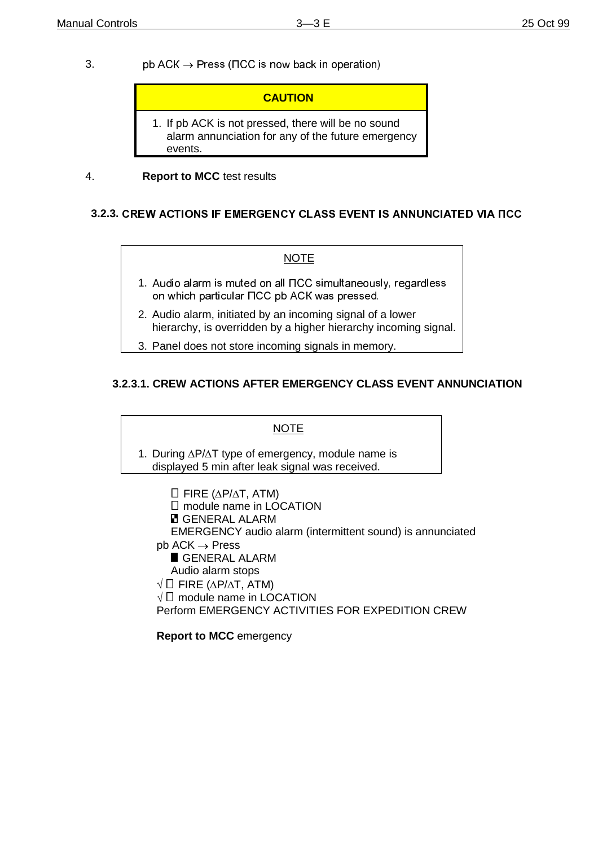3.  $\log ACK \rightarrow Press$  ( $\text{TCC}$  is now back in operation)

### **CAUTION**

1. If pb ACK is not pressed, there will be no sound alarm annunciation for any of the future emergency events.

### 4. **Report to MCC** test results

## **3.2.3.**

#### NOTE

- 1. Audio alarm is muted on all NCC simultaneously, regardless on which particular  $\Pi CC$  pb ACK was pressed.
- 2. Audio alarm, initiated by an incoming signal of a lower hierarchy, is overridden by a higher hierarchy incoming signal.
- 3. Panel does not store incoming signals in memory.

# **3.2.3.1. CREW ACTIONS AFTER EMERGENCY CLASS EVENT ANNUNCIATION**

#### **NOTE**

1. During  $\Delta P/\Delta T$  type of emergency, module name is displayed 5 min after leak signal was received.

 $\Box$  FIRE ( $\Delta$ P/ $\Delta$ T, ATM) module name in LOCATION **E** GENERAL ALARM EMERGENCY audio alarm (intermittent sound) is annunciated  $pb$  ACK  $\rightarrow$  Press GENERAL ALARM Audio alarm stops  $\sqrt{\Box}$  FIRE ( $\Delta$ P/ $\Delta$ T, ATM)  $\sqrt{\Box}$  module name in LOCATION Perform EMERGENCY ACTIVITIES FOR EXPEDITION CREW

**Report to MCC** emergency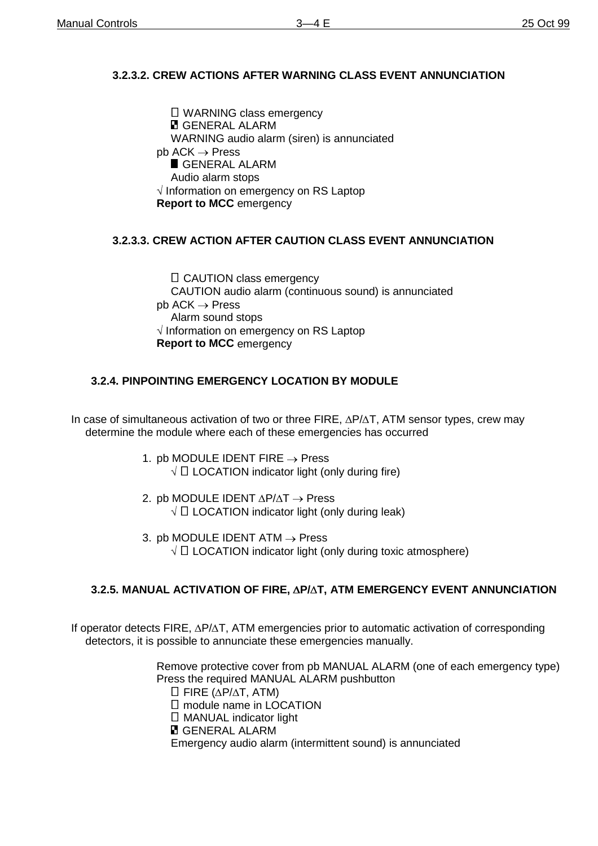# **3.2.3.2. CREW ACTIONS AFTER WARNING CLASS EVENT ANNUNCIATION**

 $\Box$  WARNING class emergency **E** GENERAL ALARM WARNING audio alarm (siren) is annunciated  $pb$  ACK  $\rightarrow$  Press GENERAL ALARM Audio alarm stops  $\sqrt{}$  Information on emergency on RS Laptop **Report to MCC** emergency

# **3.2.3.3. CREW ACTION AFTER CAUTION CLASS EVENT ANNUNCIATION**

 $\Box$  CAUTION class emergency CAUTION audio alarm (continuous sound) is annunciated  $pb$  ACK  $\rightarrow$  Press Alarm sound stops  $\sqrt{ }$  Information on emergency on RS Laptop **Report to MCC** emergency

# **3.2.4. PINPOINTING EMERGENCY LOCATION BY MODULE**

In case of simultaneous activation of two or three FIRE,  $\Delta P/\Delta T$ , ATM sensor types, crew may determine the module where each of these emergencies has occurred

> 1. pb MODULE IDENT FIRE  $\rightarrow$  Press  $\sqrt{a}$  LOCATION indicator light (only during fire)

2. pb MODULE IDENT  $\Delta$ P/ $\Delta$ T  $\rightarrow$  Press  $\sqrt{\Box}$  LOCATION indicator light (only during leak)

3. pb MODULE IDENT ATM  $\rightarrow$  Press  $\sqrt{\Box}$  LOCATION indicator light (only during toxic atmosphere)

## **3.2.5. MANUAL ACTIVATION OF FIRE, P/T, ATM EMERGENCY EVENT ANNUNCIATION**

If operator detects FIRE,  $\Delta P/\Delta T$ , ATM emergencies prior to automatic activation of corresponding detectors, it is possible to annunciate these emergencies manually.

> Remove protective cover from pb MANUAL ALARM (one of each emergency type) Press the required MANUAL ALARM pushbutton

 $\Box$  FIRE ( $\Delta$ P/ $\Delta$ T, ATM)

□ module name in LOCATION

□ MANUAL indicator light

**E** GENERAL ALARM

Emergency audio alarm (intermittent sound) is annunciated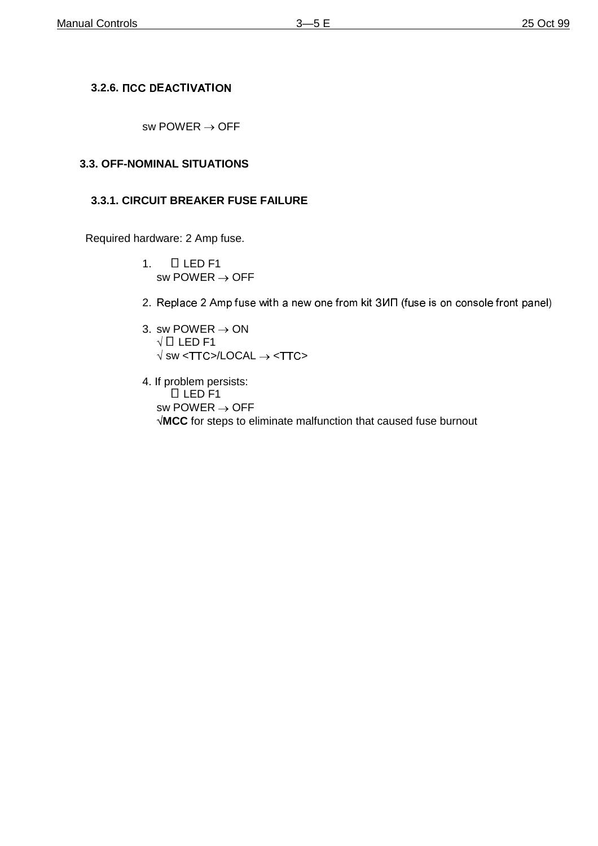# **3.2.6.**

sw POWER  $\rightarrow$  OFF

# **3.3. OFF-NOMINAL SITUATIONS**

## **3.3.1. CIRCUIT BREAKER FUSE FAILURE**

Required hardware: 2 Amp fuse.

- 1.  $\Box$  LED F1 sw POWER  $\rightarrow$  OFF
- 2. Replace 2 Amp fuse with a new one from kit 3ИП (fuse is on console front panel)
- 3. sw POWER  $\rightarrow$  ON  $\sqrt{\Box}$  LED F1  $\sqrt{\text{s}}$ w <TTC>/LOCAL  $\rightarrow$  <TTC>
- 4. If problem persists:  $LED$  F1 sw POWER  $\rightarrow$  OFF **MCC** for steps to eliminate malfunction that caused fuse burnout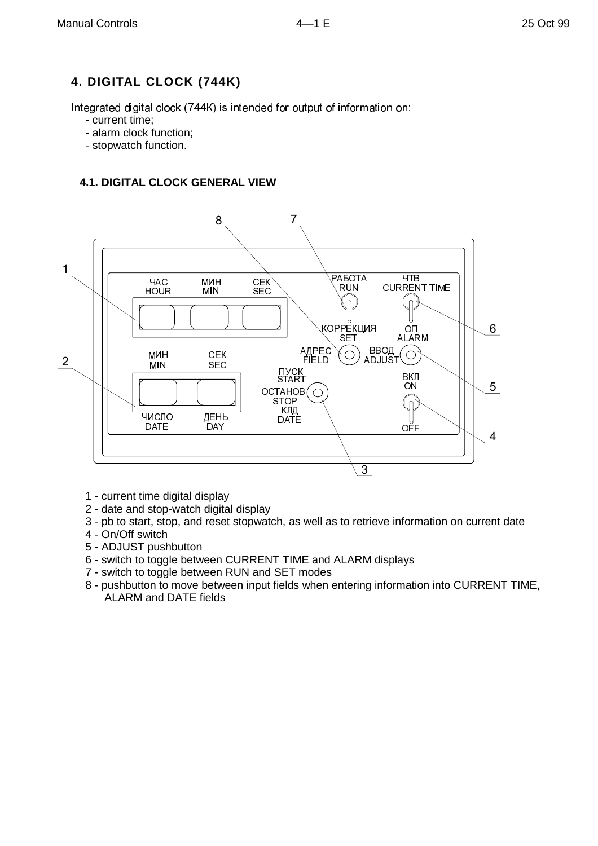# **4. DIGITAL CLOCK (744K)**

Integrated digital clock (744K) is intended for output of information on:

- current time;
- alarm clock function;
- stopwatch function.

# **4.1. DIGITAL CLOCK GENERAL VIEW**



- 1 current time digital display
- 2 date and stop-watch digital display
- 3 pb to start, stop, and reset stopwatch, as well as to retrieve information on current date
- 4 On/Off switch
- 5 ADJUST pushbutton
- 6 switch to toggle between CURRENT TIME and ALARM displays
- 7 switch to toggle between RUN and SET modes
- 8 pushbutton to move between input fields when entering information into CURRENT TIME, ALARM and DATE fields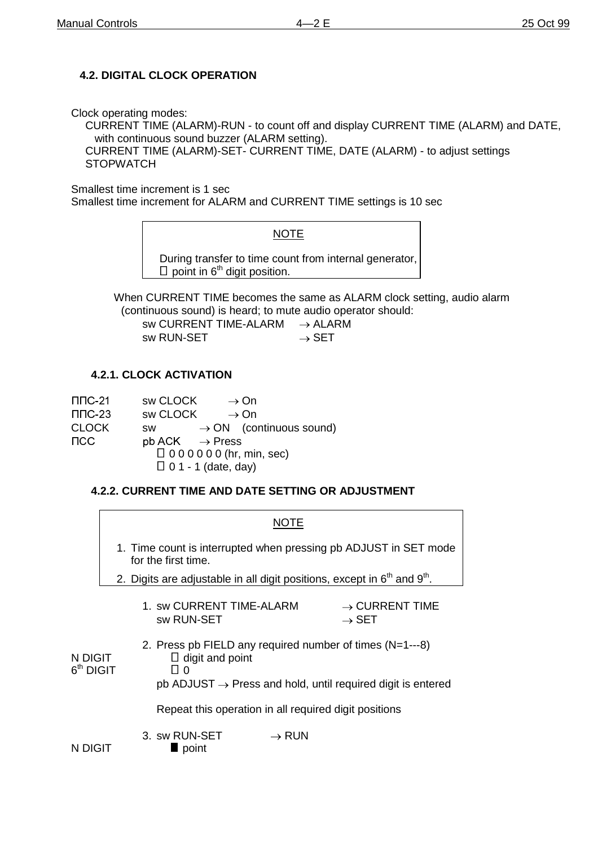# **4.2. DIGITAL CLOCK OPERATION**

Clock operating modes:

CURRENT TIME (ALARM)-RUN - to count off and display CURRENT TIME (ALARM) and DATE, with continuous sound buzzer (ALARM setting).

CURRENT TIME (ALARM)-SET- CURRENT TIME, DATE (ALARM) - to adjust settings **STOPWATCH** 

Smallest time increment is 1 sec

Smallest time increment for ALARM and CURRENT TIME settings is 10 sec

### **NOTE**

During transfer to time count from internal generator,  $\Box$  point in 6<sup>th</sup> digit position.

When CURRENT TIME becomes the same as ALARM clock setting, audio alarm (continuous sound) is heard; to mute audio operator should:

| sw CURRENT TIME-ALARM | $\rightarrow$ ALARM |
|-----------------------|---------------------|
| sw RUN-SET            | $\rightarrow$ SET   |

## **4.2.1. CLOCK ACTIVATION**

| $\Pi$ DC-21  | sw CLOCK<br>$\rightarrow$ On                     |
|--------------|--------------------------------------------------|
| $\Pi$ $C-23$ | sw CLOCK<br>$\rightarrow$ On                     |
| <b>CLOCK</b> | $\rightarrow$ ON (continuous sound)<br><b>SW</b> |
| ncc          | $pb$ ACK $\rightarrow$ Press                     |
|              | $\Box$ 0 0 0 0 0 0 0 (hr, min, sec)              |
|              | $\Box$ 0 1 - 1 (date, day)                       |

## **4.2.2. CURRENT TIME AND DATE SETTING OR ADJUSTMENT**

|                        | NOTE                                                                                    |  |                                                       |                   |                                                                                                                                        |
|------------------------|-----------------------------------------------------------------------------------------|--|-------------------------------------------------------|-------------------|----------------------------------------------------------------------------------------------------------------------------------------|
|                        | 1. Time count is interrupted when pressing pb ADJUST in SET mode<br>for the first time. |  |                                                       |                   |                                                                                                                                        |
|                        | 2. Digits are adjustable in all digit positions, except in $6th$ and $9th$ .            |  |                                                       |                   |                                                                                                                                        |
|                        |                                                                                         |  | 1. sw CURRENT TIME-ALARM<br>sw RUN-SET                |                   | $\rightarrow$ CURRENT TIME<br>$\rightarrow$ SET                                                                                        |
| N DIGIT<br>$6th$ DIGIT |                                                                                         |  | $\Box$ digit and point<br>$\overline{110}$            |                   | 2. Press pb FIELD any required number of times $(N=1--8)$<br>$pb$ ADJUST $\rightarrow$ Press and hold, until required digit is entered |
|                        |                                                                                         |  | Repeat this operation in all required digit positions |                   |                                                                                                                                        |
| N DIGIT                |                                                                                         |  | 3. sw RUN-SET<br>$\blacksquare$ point                 | $\rightarrow$ RUN |                                                                                                                                        |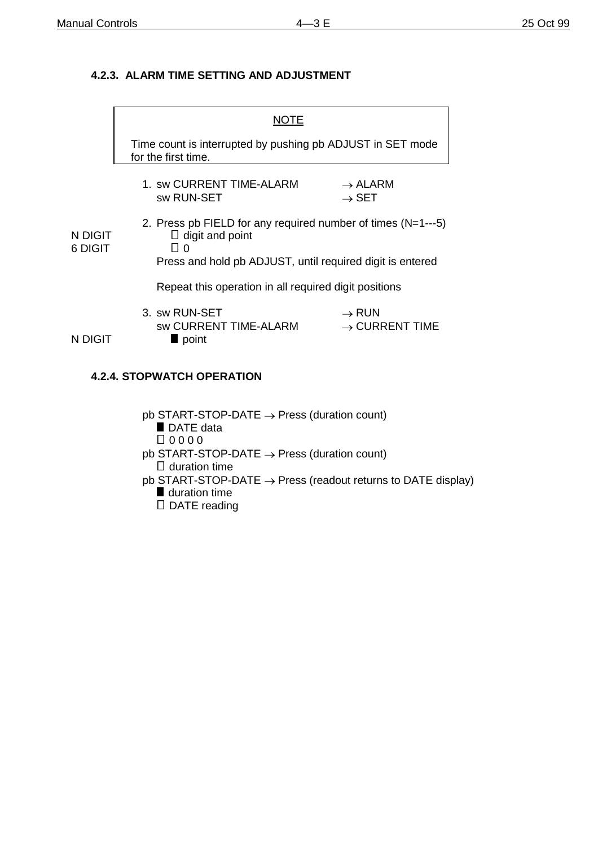# **4.2.3. ALARM TIME SETTING AND ADJUSTMENT**

|                    | NUTE                                                                                                                                                          |                                                 |  |  |
|--------------------|---------------------------------------------------------------------------------------------------------------------------------------------------------------|-------------------------------------------------|--|--|
|                    | Time count is interrupted by pushing pb ADJUST in SET mode<br>for the first time.                                                                             |                                                 |  |  |
|                    | 1. sw CURRENT TIME-ALARM<br>sw RUN-SET                                                                                                                        | $\rightarrow$ ALARM<br>$\rightarrow$ SET        |  |  |
| N DIGIT<br>6 DIGIT | 2. Press pb FIELD for any required number of times $(N=1--5)$<br>$\Box$ digit and point<br>l I O<br>Press and hold pb ADJUST, until required digit is entered |                                                 |  |  |
|                    | Repeat this operation in all required digit positions                                                                                                         |                                                 |  |  |
| N DIGIT            | 3. sw RUN-SET<br>sw CURRENT TIME-ALARM<br>point                                                                                                               | $\rightarrow$ RUN<br>$\rightarrow$ CURRENT TIME |  |  |

## **4.2.4. STOPWATCH OPERATION**

 $pb$  START-STOP-DATE  $\rightarrow$  Press (duration count) DATE data  $\Box$  0 0 0 0  $pb$  START-STOP-DATE  $\rightarrow$  Press (duration count)  $\square$  duration time pb START-STOP-DATE  $\rightarrow$  Press (readout returns to DATE display) **duration time** D DATE reading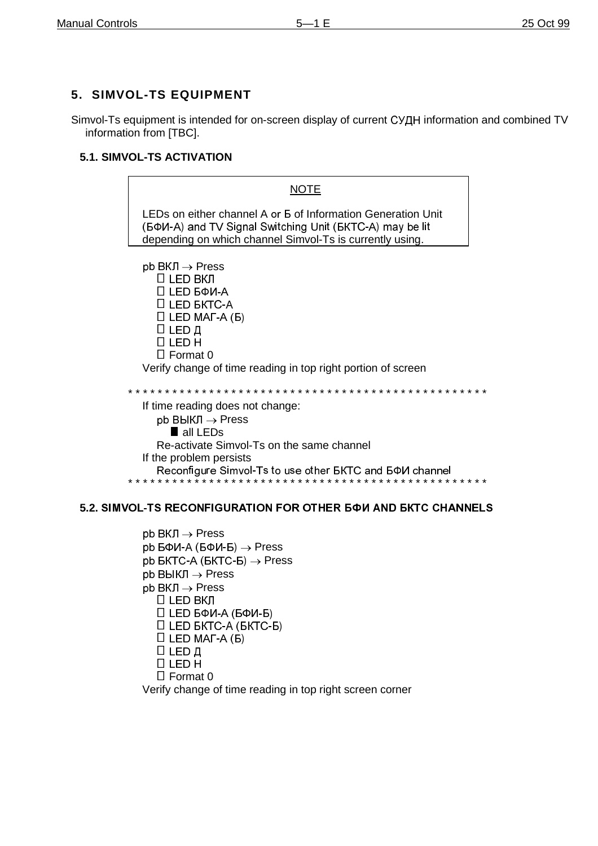# 5. SIMVOL-TS EQUIPMENT

Simvol-Ts equipment is intended for on-screen display of current CYAH information and combined TV information from [TBC].

# 5.1. SIMVOL-TS ACTIVATION



## 5.2. SIMVOL-TS RECONFIGURATION FOR OTHER 6 PM AND BKTC CHANNELS

 $pb$  BKJI  $\rightarrow$  Press  $bb B\Phi$ И-А (БФИ-Б)  $\rightarrow$  Press pb  $BKTC-A$  ( $BKTC-B$ )  $\rightarrow$  Press  $pb$  ВЫКЛ  $\rightarrow$  Press  $pb$  BKJI  $\rightarrow$  Press  $□$  LED ВКЛ □ LED БФИ-А (БФИ-Б)  $\Box$  LED BKTC-A (BKTC-B)  $\Box$  LED MAT-A (B) **П LED Д**  $\Box$  LED H  $\Box$  Format 0 Verify change of time reading in top right screen corner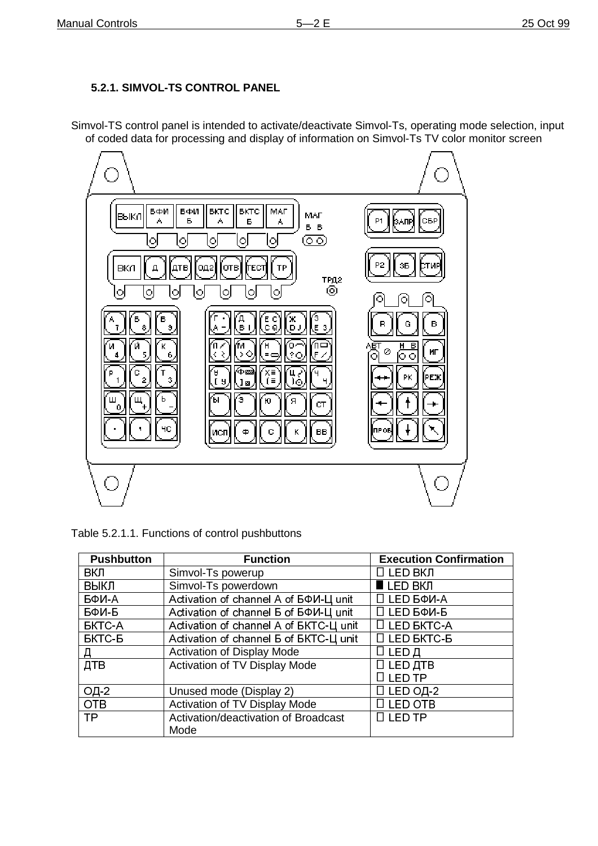# **5.2.1. SIMVOL-TS CONTROL PANEL**

Simvol-TS control panel is intended to activate/deactivate Simvol-Ts, operating mode selection, input of coded data for processing and display of information on Simvol-Ts TV color monitor screen



| Table 5.2.1.1. Functions of control pushbuttons |  |  |
|-------------------------------------------------|--|--|
|                                                 |  |  |

| <b>Pushbutton</b> | <b>Function</b>                                     | <b>Execution Confirmation</b> |
|-------------------|-----------------------------------------------------|-------------------------------|
| вкл               | Simvol-Ts powerup                                   | 0 LED ВКЛ                     |
| ВЫКЛ              | Simvol-Ts powerdown                                 | $LED$ BKJ                     |
| БФИ-А             | Activation of channel A of $5\Phi$ <i>M-LI unit</i> | □ LED БФИ-А                   |
| БФИ-Б             | Activation of channel 5 of 50M-L unit               | □ LED БФИ-Б                   |
| <b>BKTC-A</b>     | Activation of channel A of BKTC-L unit              | $\Box$ LED BKTC-A             |
| <b>БКТС-Б</b>     | Activation of channel <b>5 of BKTC-LI unit</b>      | $\Box$ LED BKTC-B             |
| Д                 | <b>Activation of Display Mode</b>                   | О ∟ЕР Д                       |
| ДТВ               | Activation of TV Display Mode                       | $\Box$ LED $\Box$ TB          |
|                   |                                                     | <b>LED TP</b>                 |
| ОД-2              | Unused mode (Display 2)                             | □ LED OД-2                    |
| <b>OTB</b>        | Activation of TV Display Mode                       | <b>LED OTB</b>                |
| TP                | Activation/deactivation of Broadcast                | $\square$ LED TP              |
|                   | Mode                                                |                               |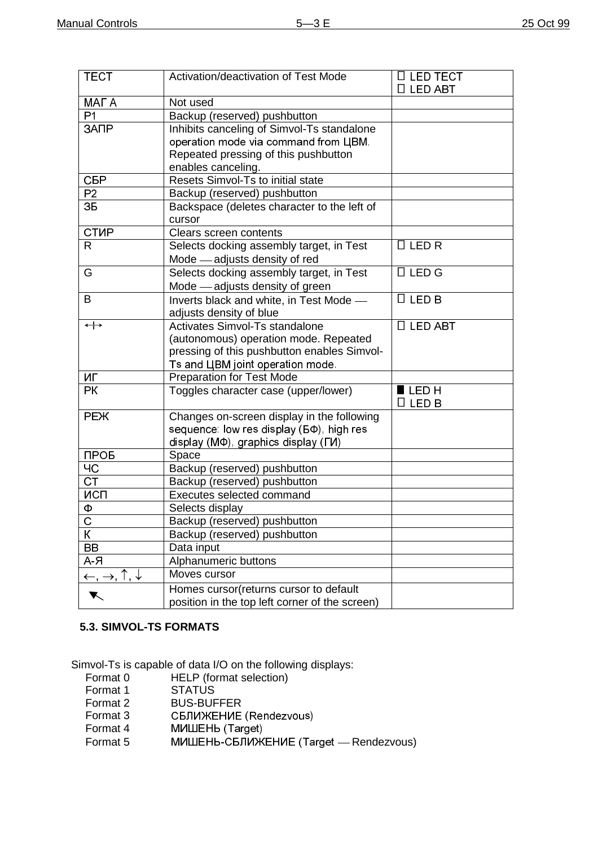| <b>TECT</b>                                              | Activation/deactivation of Test Mode            | □ LED TECT<br>□ LED ABT |
|----------------------------------------------------------|-------------------------------------------------|-------------------------|
| MAF A                                                    | Not used                                        |                         |
| P <sub>1</sub>                                           | Backup (reserved) pushbutton                    |                         |
| ЗАПР                                                     | Inhibits canceling of Simvol-Ts standalone      |                         |
|                                                          | operation mode via command from UBM.            |                         |
|                                                          | Repeated pressing of this pushbutton            |                         |
|                                                          | enables canceling.                              |                         |
| <b>СБР</b>                                               | Resets Simvol-Ts to initial state               |                         |
| P2                                                       | Backup (reserved) pushbutton                    |                         |
| 3Б                                                       | Backspace (deletes character to the left of     |                         |
|                                                          | cursor                                          |                         |
| <b>CTMP</b>                                              | Clears screen contents                          |                         |
| $\mathsf{R}$                                             | Selects docking assembly target, in Test        | $\Box$ LED R            |
|                                                          | Mode - adjusts density of red                   |                         |
| G                                                        | Selects docking assembly target, in Test        | $\Box$ LED G            |
|                                                          | Mode - adjusts density of green                 |                         |
| B                                                        | Inverts black and white, in Test Mode -         | $\Box$ LED B            |
|                                                          | adjusts density of blue                         |                         |
| $\leftrightarrow$                                        | Activates Simvol-Ts standalone                  | $\Box$ LED ABT          |
|                                                          | (autonomous) operation mode. Repeated           |                         |
|                                                          | pressing of this pushbutton enables Simvol-     |                         |
|                                                          | Ts and UBM joint operation mode.                |                         |
| ИГ                                                       | <b>Preparation for Test Mode</b>                |                         |
| PК                                                       | Toggles character case (upper/lower)            | $\blacksquare$ LED H    |
|                                                          |                                                 | $\Box$ LED B            |
| <b>PEX</b>                                               | Changes on-screen display in the following      |                         |
|                                                          | sequence: low res display ( $5\Phi$ ), high res |                         |
|                                                          | display (M $\Phi$ ), graphics display (ГИ)      |                         |
| ПРОБ                                                     | Space                                           |                         |
| ЧC                                                       | Backup (reserved) pushbutton                    |                         |
| <b>CT</b>                                                | Backup (reserved) pushbutton                    |                         |
| ИСП                                                      | Executes selected command                       |                         |
| Φ                                                        | Selects display                                 |                         |
| $\overline{C}$                                           | Backup (reserved) pushbutton                    |                         |
| К                                                        | Backup (reserved) pushbutton                    |                         |
| BB                                                       | Data input                                      |                         |
| $A - A$                                                  | Alphanumeric buttons                            |                         |
| $\leftarrow$ , $\rightarrow$ , $\uparrow$ , $\downarrow$ | Moves cursor                                    |                         |
| ▼                                                        | Homes cursor (returns cursor to default         |                         |
|                                                          | position in the top left corner of the screen)  |                         |

#### **5.3. SIMVOL-TS FORMATS**

Simvol-Ts is capable of data I/O on the following displays:<br>Format 0 HELP (format selection)

- 
- HELP (format selection)<br>STATUS Format 1<br>Format 2 Format 2 BUS-BUFFER<br>Format 3 CBJUXEHUE Format 3 CEJUNE (Rendezvous)<br>Format 4 MICHEHB (Target) **МИШЕНЬ (Target)**
- Format 5 MINLEHb-СБЛИЖЕНИЕ (Target Rendezvous)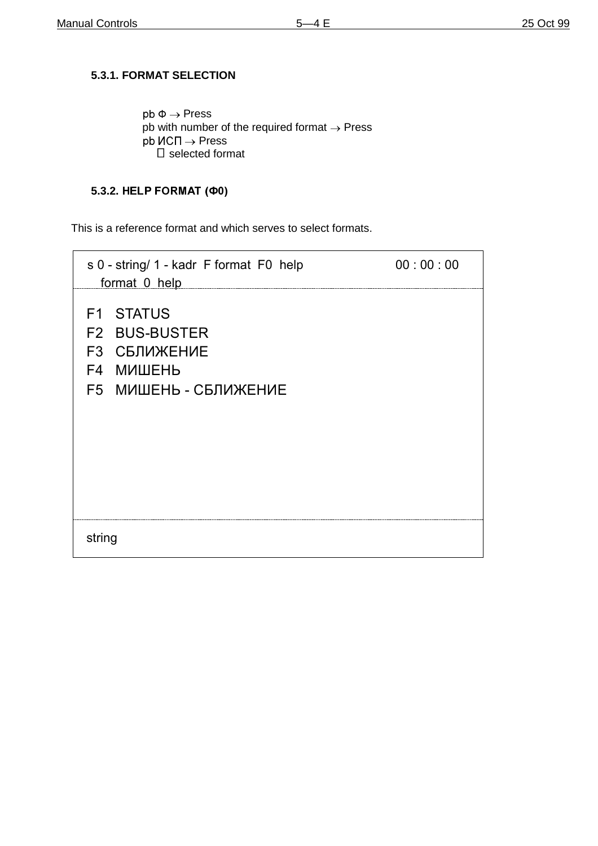# **5.3.1. FORMAT SELECTION**

 $pb \Phi \rightarrow Press$ pb with number of the required format  $\rightarrow$  Press  $p^{\text{th}}$   $M$ C $\Pi \rightarrow$  Press  $\square$  selected format

# **5.3.2. HELP FORMAT (Φ0)**

This is a reference format and which serves to select formats.

| s 0 - string/ 1 - kadr F format F0 help<br>format 0 help                                                            | 00:00:00 |
|---------------------------------------------------------------------------------------------------------------------|----------|
| <b>F1 STATUS</b><br><b>F2 BUS-BUSTER</b><br><b>F3 СБЛИЖЕНИЕ</b><br><b>F4 МИШЕНЬ</b><br><b>F5 МИШЕНЬ - СБЛИЖЕНИЕ</b> |          |
| string                                                                                                              |          |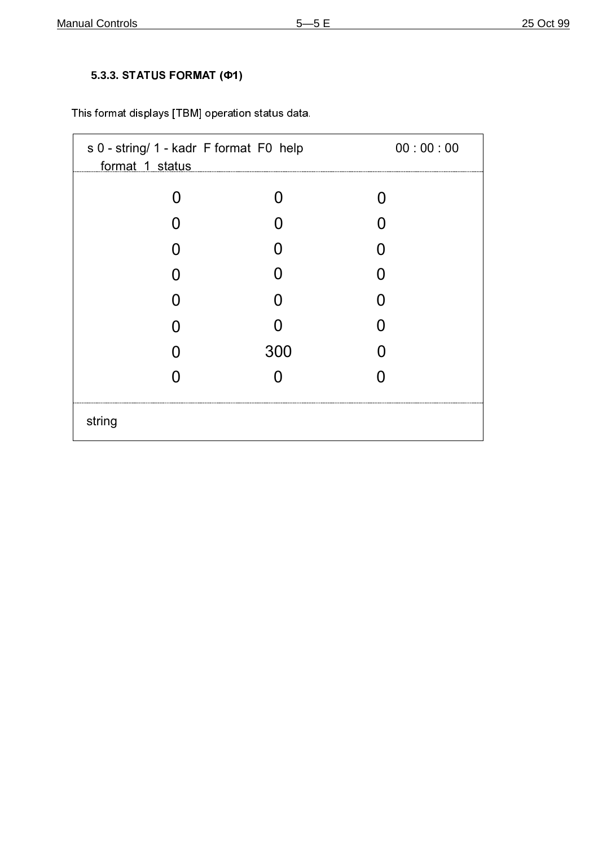# 5.3.3. STATUS FORMAT (Ф1)

This format displays [TBM] operation status data.

| s 0 - string/ 1 - kadr F format F0 help<br>format 1 status |     | 00:00:00 |
|------------------------------------------------------------|-----|----------|
| O                                                          |     |          |
|                                                            |     |          |
|                                                            |     | N        |
|                                                            |     | 0        |
|                                                            |     | N        |
|                                                            |     | 0        |
| O                                                          | 300 |          |
|                                                            |     |          |
| string                                                     |     |          |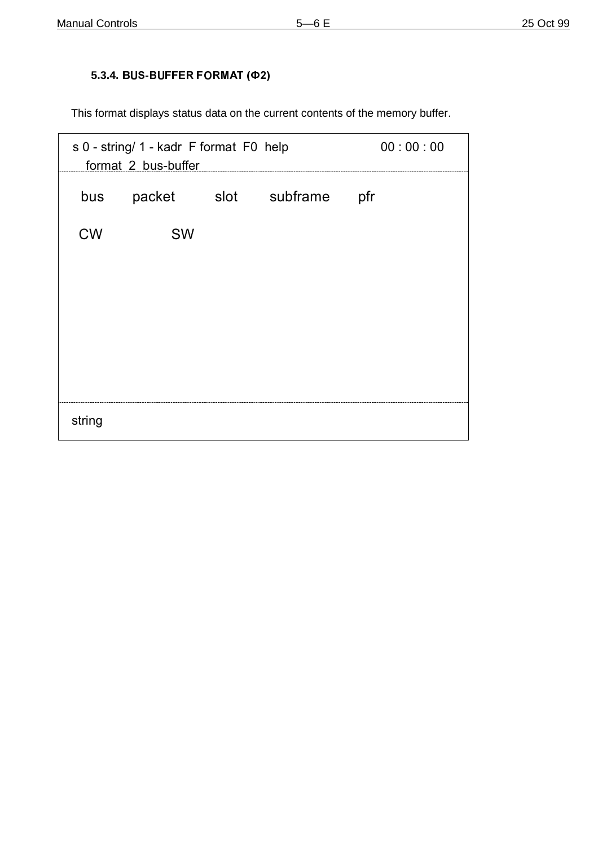# 5.3.4. BUS-BUFFER FORMAT (Φ2)

This format displays status data on the current contents of the memory buffer.

| s 0 - string/ 1 - kadr F format F0 help<br>format 2 bus-buffer |           |  | 00:00:00             |     |
|----------------------------------------------------------------|-----------|--|----------------------|-----|
| bus                                                            |           |  | packet slot subframe | pfr |
| <b>CW</b>                                                      | <b>SW</b> |  |                      |     |
|                                                                |           |  |                      |     |
|                                                                |           |  |                      |     |
|                                                                |           |  |                      |     |
|                                                                |           |  |                      |     |
| string                                                         |           |  |                      |     |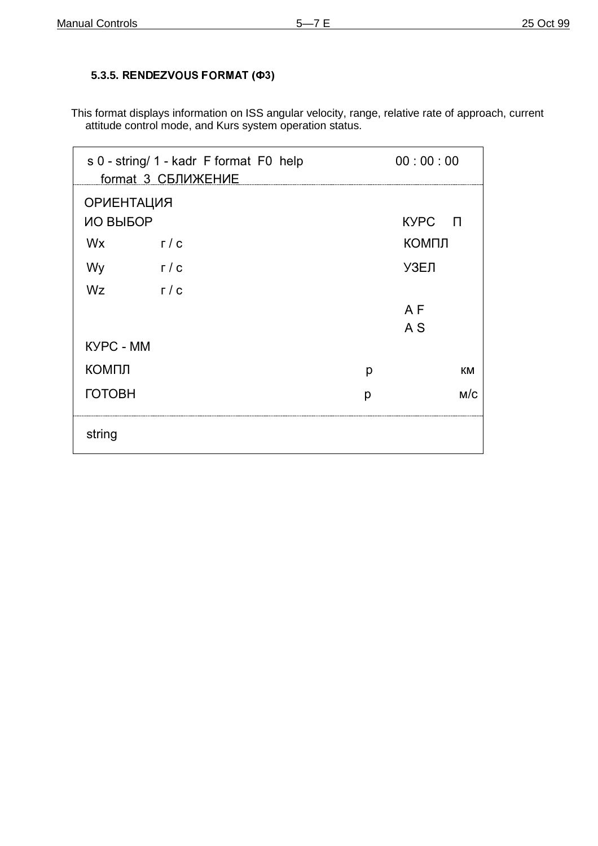## 5.3.5. RENDEZVOUS FORMAT (Φ3)

This format displays information on ISS angular velocity, range, relative rate of approach, current attitude control mode, and Kurs system operation status.

| s 0 - string/ 1 - kadr F format F0 help<br>format 3 СБЛИЖЕНИЕ |              |   | 00:00:00       |  |
|---------------------------------------------------------------|--------------|---|----------------|--|
| <b>ОРИЕНТАЦИЯ</b>                                             |              |   |                |  |
| ИО ВЫБОР                                                      |              |   | KУPC П         |  |
| Wx                                                            | $\Gamma / C$ |   | КОМПЛ          |  |
| Wy                                                            | г / с        |   | УЗЕЛ           |  |
| Wz                                                            | $\Gamma / C$ |   |                |  |
|                                                               |              |   | A F            |  |
|                                                               |              |   | A <sub>S</sub> |  |
| <b>KYPC - MM</b>                                              |              |   |                |  |
| КОМПЛ                                                         |              | p | КM             |  |
| <b>ГОТОВН</b>                                                 |              | р | M/C            |  |
|                                                               |              |   |                |  |
| string                                                        |              |   |                |  |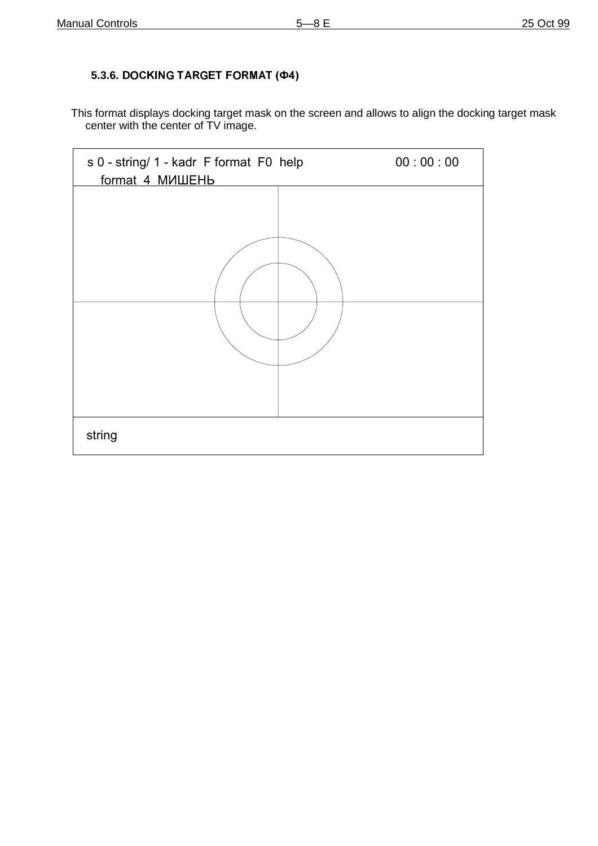## 5.3.6. DOCKING TARGET FORMAT (Φ4)

This format displays docking target mask on the screen and allows to align the docking target mask center with the center of TV image.

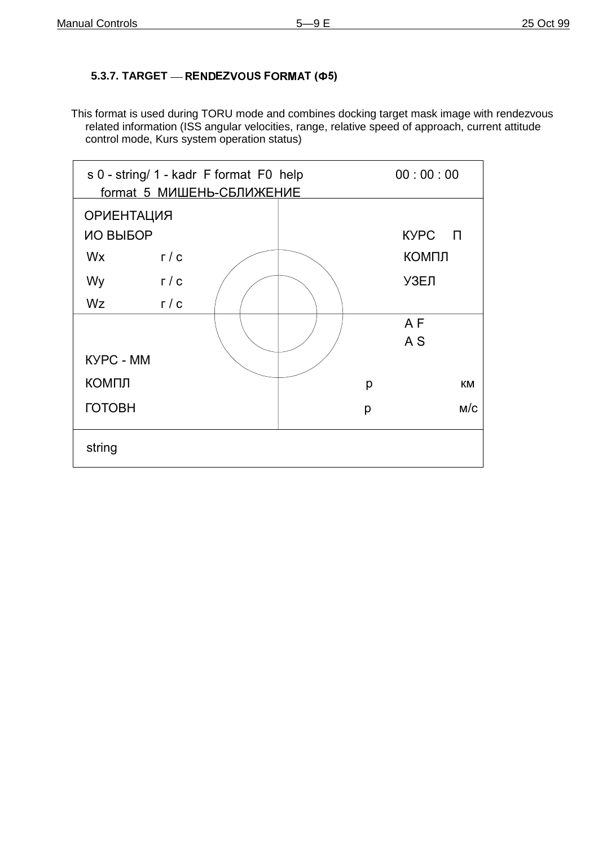## 5.3.7. TARGET - RENDEZVOUS FORMAT (Ф5)

This format is used during TORU mode and combines docking target mask image with rendezvous related information (ISS angular velocities, range, relative speed of approach, current attitude control mode, Kurs system operation status)

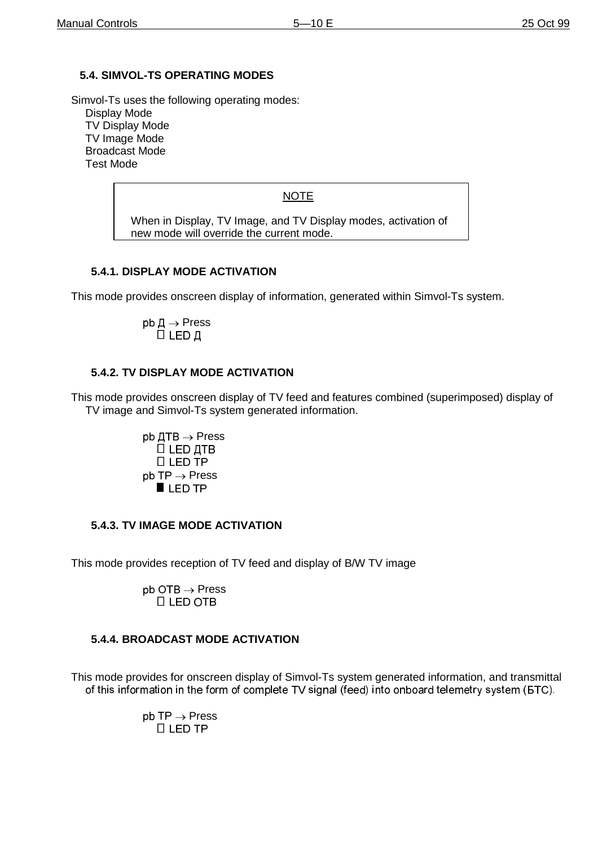#### **5.4. SIMVOL-TS OPERATING MODES**

Simvol-Ts uses the following operating modes:

Display Mode TV Display Mode TV Image Mode Broadcast Mode Test Mode

#### **NOTE**

When in Display, TV Image, and TV Display modes, activation of new mode will override the current mode.

#### **5.4.1. DISPLAY MODE ACTIVATION**

This mode provides onscreen display of information, generated within Simvol-Ts system.

$$
\mathsf{pb} \mathbin{\,\,\overline{\!\!\mathcal{A}}\,} \mathbin{\rightarrow} \mathsf{Press} \ \Box \ \mathsf{LED} \ \mathbin{\,\,\overline{\!\!\mathcal{A}}\,}
$$

#### **5.4.2. TV DISPLAY MODE ACTIVATION**

This mode provides onscreen display of TV feed and features combined (superimposed) display of TV image and Simvol-Ts system generated information.

> $pb$   $\Box$ TB  $\rightarrow$  Press  $\Box$  LED  $\Box$ TB  $\Box$  LED TP  $pb$  TP  $\rightarrow$  Press  $\blacksquare$  LED TP

#### **5.4.3. TV IMAGE MODE ACTIVATION**

This mode provides reception of TV feed and display of B/W TV image

 $pb$  OTB  $\rightarrow$  Press  $\Pi$  LED OTB

#### **5.4.4. BROADCAST MODE ACTIVATION**

This mode provides for onscreen display of Simvol-Ts system generated information, and transmittal of this information in the form of complete TV signal (feed) into onboard telemetry system (GTC).

> $pb$   $\mathsf{TP} \rightarrow \mathsf{Press}$  $\Box$  LED TP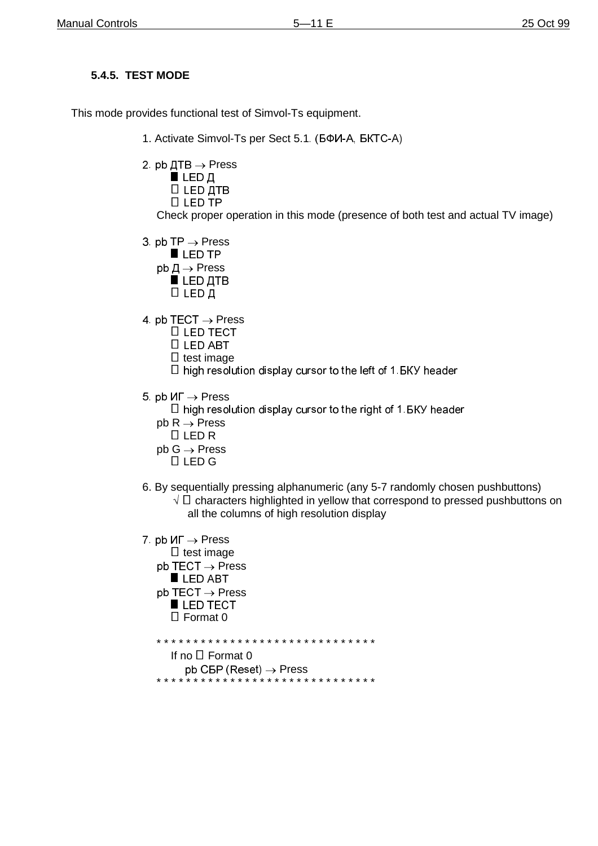## **5.4.5. TEST MODE**

This mode provides functional test of Simvol-Ts equipment.

- 1. Activate Simvol-Ts per Sect 5.1 (БФИ-А, БКТС-А)
- 2. pb  $\text{ATB} \rightarrow \text{Press}$ 
	- $\blacksquare$  LED Д □ LED ДТВ
	- $\Box$  LED TP

Check proper operation in this mode (presence of both test and actual TV image)

- 3 pb TP  $\rightarrow$  Press
	- LED TP
	- $pb \nightharpoondown \neg \neg$  Press
		- $LED$   $ATB$ □ ∟ЕD Д
	-
- 4 pb TECT  $\rightarrow$  Press
	- $\Box$  LED TECT
	- $\Box$  LED ABT
	- $\Box$  test image
	- $\Box$  high resolution display cursor to the left of 1. BKY header
- 5 pb  $\mathsf{M}\Gamma \to \mathsf{Press}$ 
	- $\Box$  high resolution display cursor to the right of 1. BKY header
	- $pb R \rightarrow Press$
	- $LEDR$
	- $pb G \rightarrow Press$ 
		- $\Box$  LED G
- 6. By sequentially pressing alphanumeric (any 5-7 randomly chosen pushbuttons)
	- $\sqrt{2}$  C characters highlighted in yellow that correspond to pressed pushbuttons on all the columns of high resolution display
- 7 pb  $\mathsf{M}\Gamma \to \mathsf{Press}$  $\Box$  test image  $pb$  TECT  $\rightarrow$  Press LED ABT  $pb$  TECT  $\rightarrow$  Press LED TECT  $\Box$  Format 0

- If no □ Format 0
- $pb$  CBP (Reset)  $\rightarrow$  Press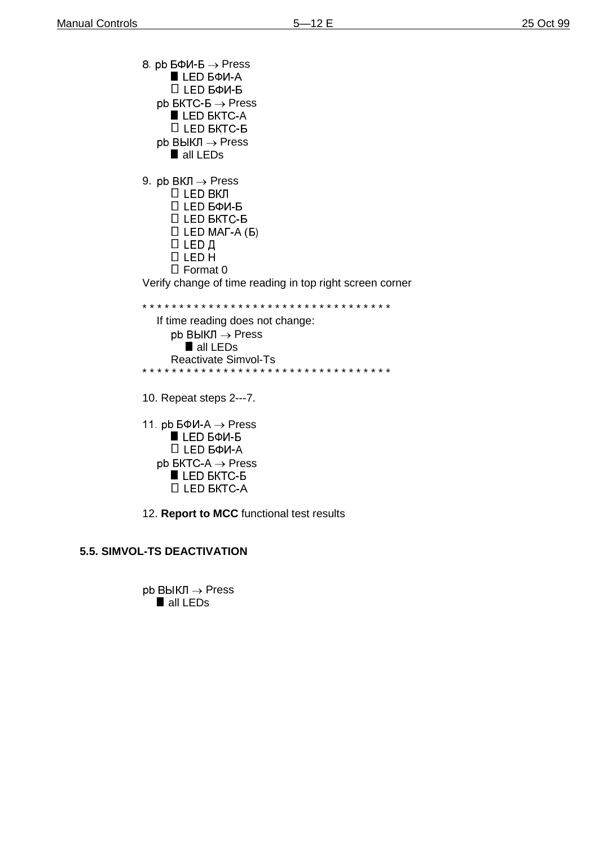8 pb  $5\Phi$ *N*- $5 \rightarrow$  Press  $LED$   $B\Phi$ *V*-A □ LED БФИ-Б  $pb$  BKTC-B  $\rightarrow$  Press LED BKTC-A □ LED БКТС-Б  $pb$  ВЫКЛ  $\rightarrow$  Press all LEDs 9. pb BKJ  $\rightarrow$  Press □ LED ВКЛ П LED БФИ-Б □ LED БКТС-Б  $\Box$  LED MAT-A (B) П LED Д  $\Box$  LED H  $\Box$  Format 0 Verify change of time reading in top right screen corner If time reading does not change:  $pb$  BblK $\Pi \rightarrow$  Press all LEDs **Reactivate Simvol-Ts** \* \* \* \* \* \* \* \* \* \* \* 10. Repeat steps 2---7. 11. pb  $5\Phi$ *M-A*  $\rightarrow$  *Press*  $LED$   $B$  $0$   $-5$ □ LED БФИ-А  $pb$  BKTC-A  $\rightarrow$  Press LED *EKTC-6* **LED BKTC-A** 12. Report to MCC functional test results

#### 5.5. SIMVOL-TS DEACTIVATION

 $pb$  ВЫКЛ  $\rightarrow$  Press all LEDs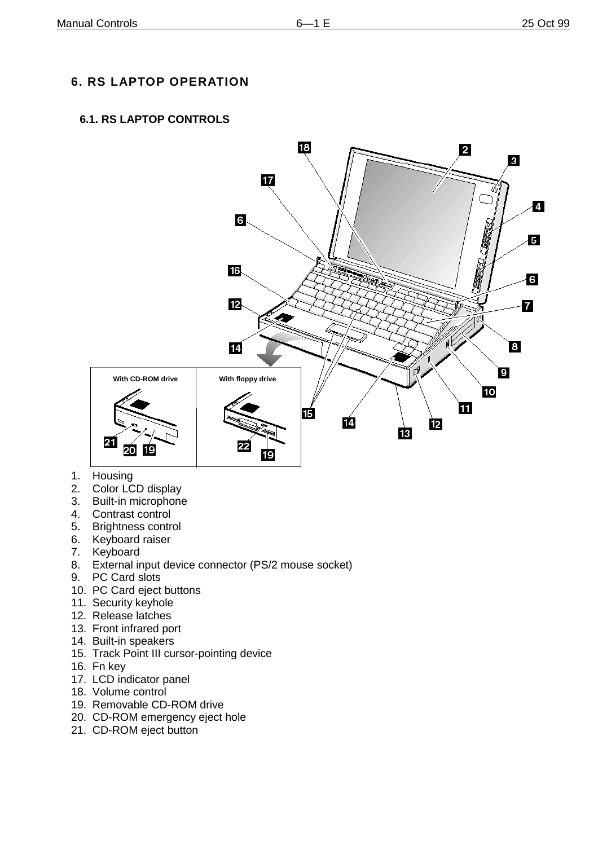# **6. RS LAPTOP OPERATION**

## **6.1. RS LAPTOP CONTROLS**



- 1. Housing
- 2. Color LCD display
- 3. Built-in microphone
- 4. Contrast control
- 5. Brightness control
- 6. Keyboard raiser
- 7. Keyboard
- 8. External input device connector (PS/2 mouse socket)
- 9. PC Card slots
- 10. PC Card eject buttons
- 11. Security keyhole
- 12. Release latches
- 13. Front infrared port
- 14. Built-in speakers
- 15. Track Point III cursor-pointing device
- 16. Fn key
- 17. LCD indicator panel
- 18. Volume control
- 19. Removable CD-ROM drive
- 20. CD-ROM emergency eject hole
- 21. CD-ROM eject button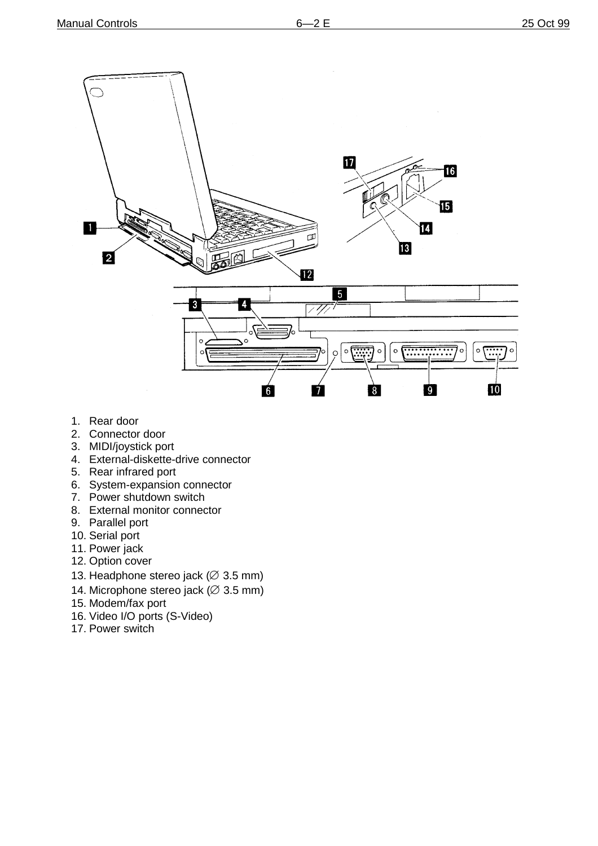

- 1. Rear door
- 2. Connector door
- 3. MIDI/joystick port
- 4. External-diskette-drive connector
- 5. Rear infrared port
- 6. System-expansion connector
- 7. Power shutdown switch
- 8. External monitor connector
- 9. Parallel port
- 10. Serial port
- 11. Power jack
- 12. Option cover
- 13. Headphone stereo jack ( $\varnothing$  3.5 mm)
- 14. Microphone stereo jack ( $\varnothing$  3.5 mm)
- 15. Modem/fax port
- 16. Video I/O ports (S-Video)
- 17. Power switch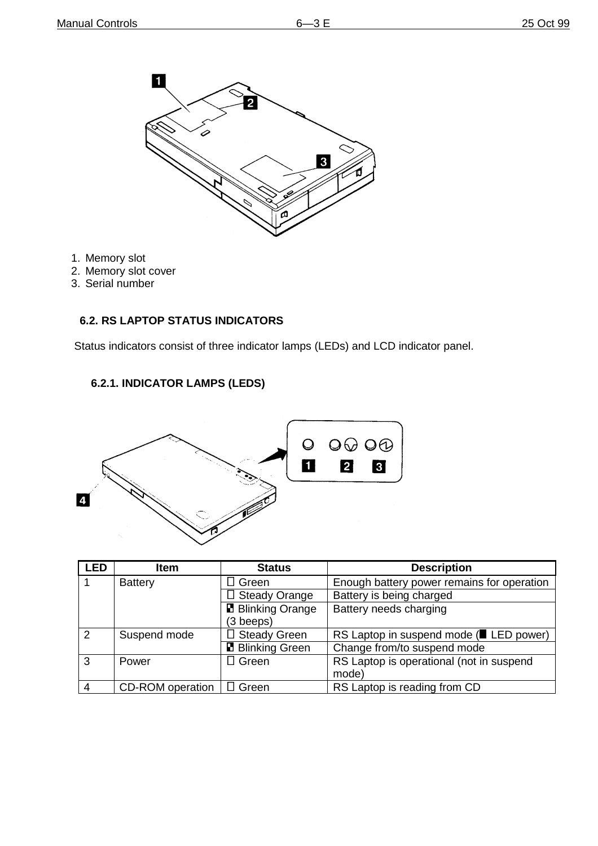

- 1. Memory slot
- 2. Memory slot cover
- 3. Serial number

#### **6.2. RS LAPTOP STATUS INDICATORS**

Status indicators consist of three indicator lamps (LEDs) and LCD indicator panel.

## **6.2.1. INDICATOR LAMPS (LEDS)**



| <b>LED</b>    | <b>Item</b>             | <b>Status</b>            | <b>Description</b>                         |
|---------------|-------------------------|--------------------------|--------------------------------------------|
|               | <b>Battery</b>          | $\square$ Green          | Enough battery power remains for operation |
|               |                         | $\Box$ Steady Orange     | Battery is being charged                   |
|               |                         | <b>B</b> Blinking Orange | Battery needs charging                     |
|               |                         | $(3 \text{្)$            |                                            |
| $\mathcal{P}$ | Suspend mode            | □ Steady Green           | RS Laptop in suspend mode (ELED power)     |
|               |                         | <b>B</b> Blinking Green  | Change from/to suspend mode                |
| 3             | Power                   | $\Box$ Green             | RS Laptop is operational (not in suspend   |
|               |                         |                          | mode)                                      |
| 4             | <b>CD-ROM</b> operation | $\Box$ Green             | RS Laptop is reading from CD               |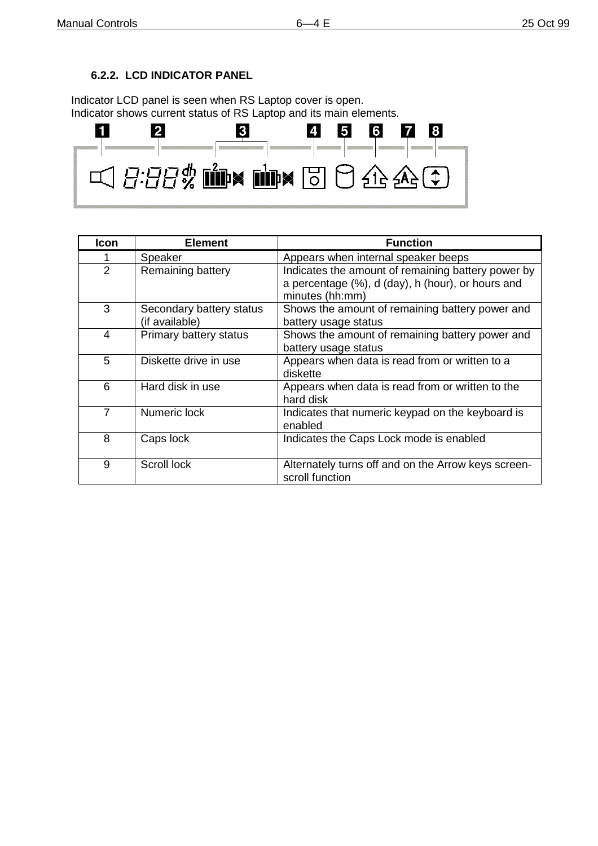## **6.2.2. LCD INDICATOR PANEL**

Indicator LCD panel is seen when RS Laptop cover is open. Indicator shows current status of RS Laptop and its main elements.



| <b>Icon</b>    | <b>Element</b>                             | <b>Function</b>                                                                                                            |
|----------------|--------------------------------------------|----------------------------------------------------------------------------------------------------------------------------|
| 1              | Speaker                                    | Appears when internal speaker beeps                                                                                        |
| $\overline{2}$ | Remaining battery                          | Indicates the amount of remaining battery power by<br>a percentage (%), d (day), h (hour), or hours and<br>minutes (hh:mm) |
| 3              | Secondary battery status<br>(if available) | Shows the amount of remaining battery power and<br>battery usage status                                                    |
| 4              | Primary battery status                     | Shows the amount of remaining battery power and<br>battery usage status                                                    |
| 5              | Diskette drive in use                      | Appears when data is read from or written to a<br>diskette                                                                 |
| 6              | Hard disk in use                           | Appears when data is read from or written to the<br>hard disk                                                              |
| 7              | Numeric lock                               | Indicates that numeric keypad on the keyboard is<br>enabled                                                                |
| 8              | Caps lock                                  | Indicates the Caps Lock mode is enabled                                                                                    |
| 9              | Scroll lock                                | Alternately turns off and on the Arrow keys screen-<br>scroll function                                                     |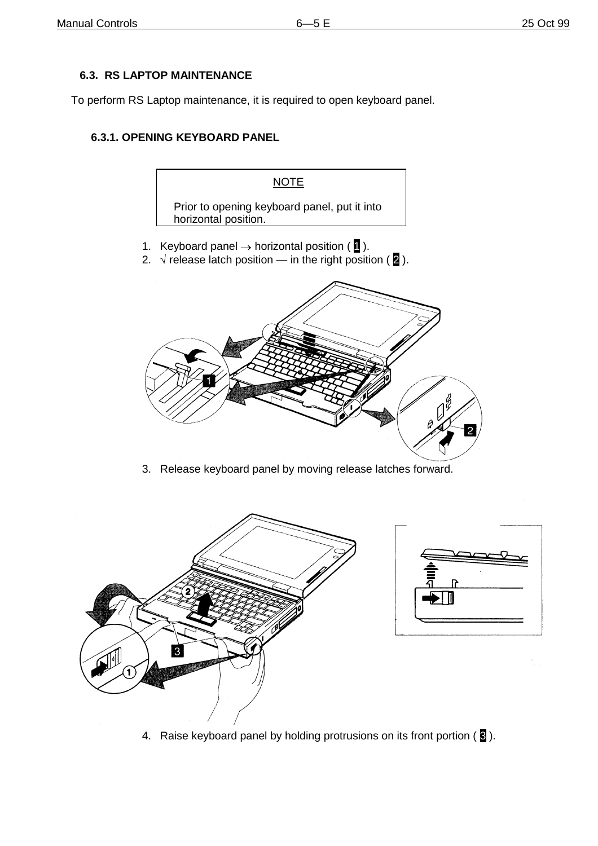## **6.3. RS LAPTOP MAINTENANCE**

To perform RS Laptop maintenance, it is required to open keyboard panel.

## **6.3.1. OPENING KEYBOARD PANEL**





3. Release keyboard panel by moving release latches forward.



4. Raise keyboard panel by holding protrusions on its front portion ( $\overline{8}$ ).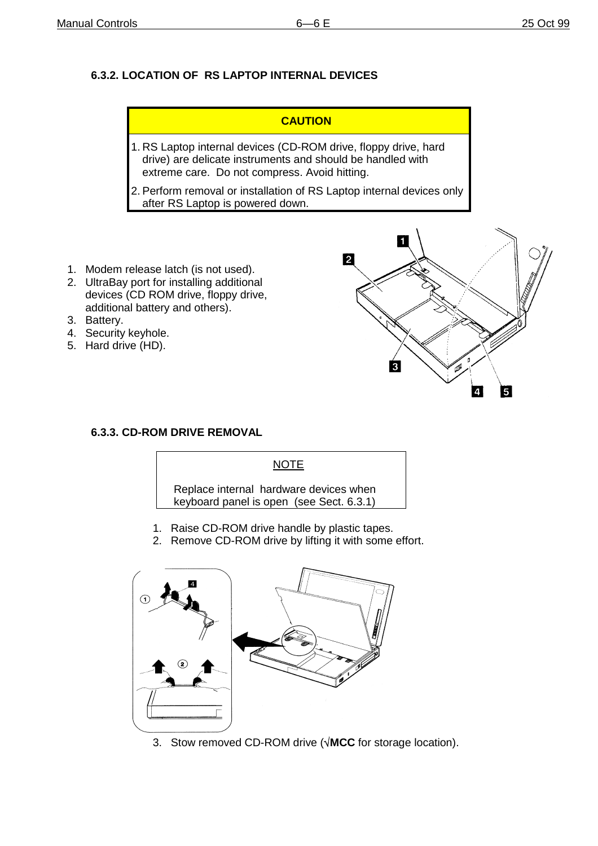## **6.3.2. LOCATION OF RS LAPTOP INTERNAL DEVICES**

| <b>CAUTION</b>                                                                                                                                                                 |
|--------------------------------------------------------------------------------------------------------------------------------------------------------------------------------|
| 1. RS Laptop internal devices (CD-ROM drive, floppy drive, hard<br>drive) are delicate instruments and should be handled with<br>extreme care. Do not compress. Avoid hitting. |
| 2. Perform removal or installation of RS Laptop internal devices only<br>after RS Laptop is powered down.                                                                      |

- 1. Modem release latch (is not used).
- 2. UltraBay port for installing additional devices (CD ROM drive, floppy drive, additional battery and others).
- 3. Battery.
- 4. Security keyhole.
- 5. Hard drive (HD).



#### **6.3.3. CD-ROM DRIVE REMOVAL**



Replace internal hardware devices when keyboard panel is open (see Sect. 6.3.1)

- 1. Raise CD-ROM drive handle by plastic tapes.
- 2. Remove CD-ROM drive by lifting it with some effort.



3. Stow removed CD-ROM drive (**MCC** for storage location).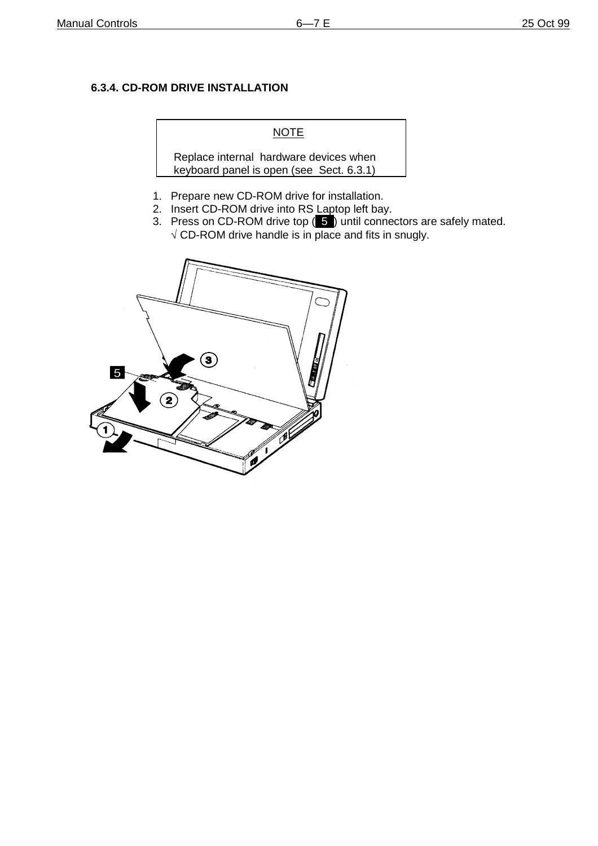#### **6.3.4. CD-ROM DRIVE INSTALLATION**

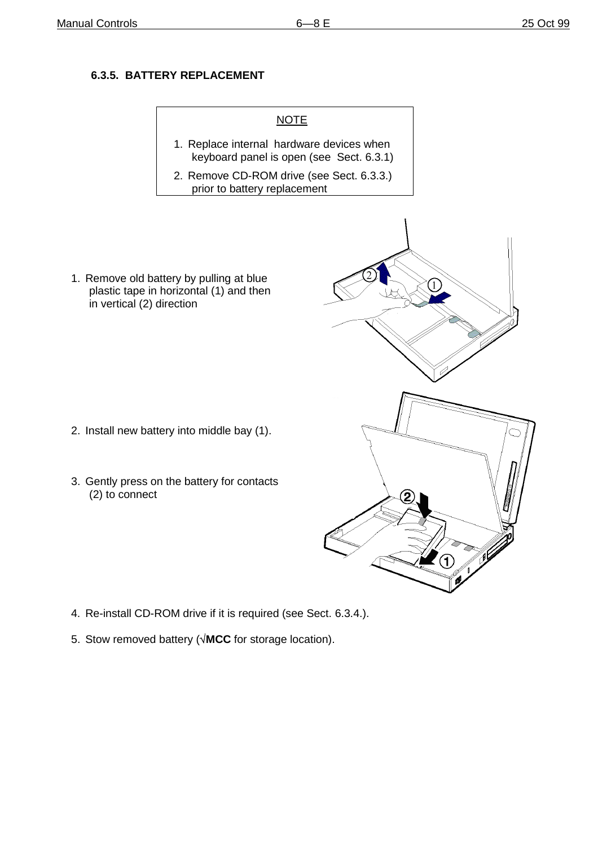## **6.3.5. BATTERY REPLACEMENT**



- 4. Re-install CD-ROM drive if it is required (see Sect. 6.3.4.).
- 5. Stow removed battery (**MCC** for storage location).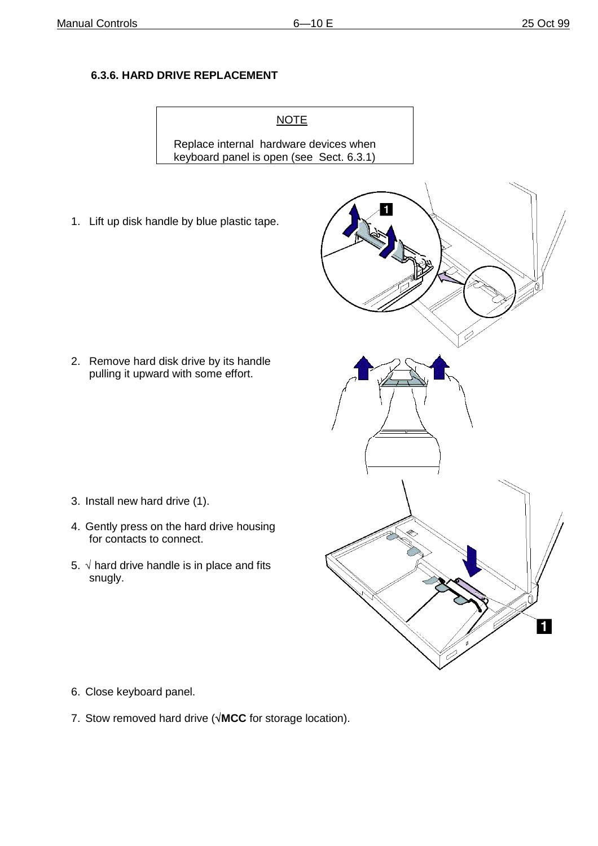## **6.3.6. HARD DRIVE REPLACEMENT**

**NOTE** Replace internal hardware devices when keyboard panel is open (see Sect. 6.3.1)

1. Lift up disk handle by blue plastic tape.

2. Remove hard disk drive by its handle pulling it upward with some effort.

- 3. Install new hard drive (1).
- 4. Gently press on the hard drive housing for contacts to connect.
- 5.  $\sqrt{ }$  hard drive handle is in place and fits snugly.



- 6. Close keyboard panel.
- 7. Stow removed hard drive ( $\sqrt{MCC}$  for storage location).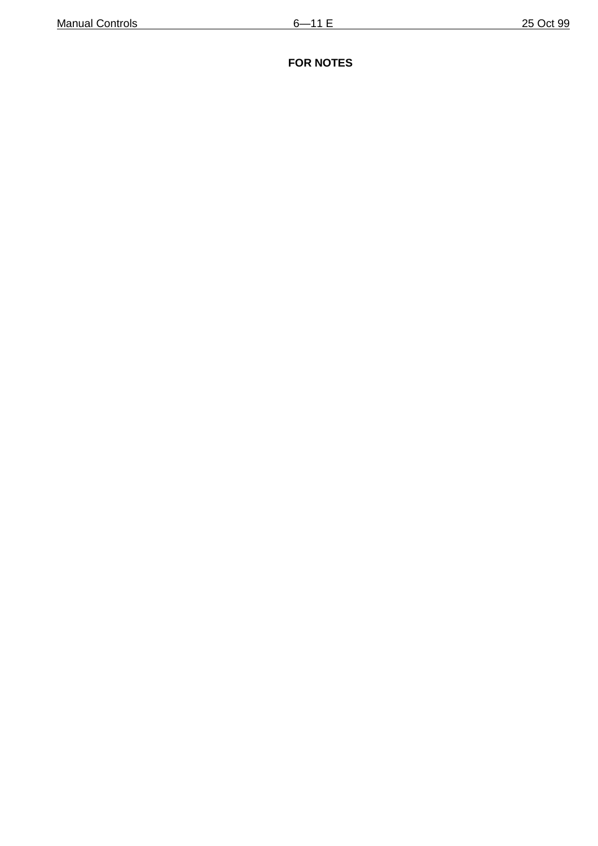## **FOR NOTES**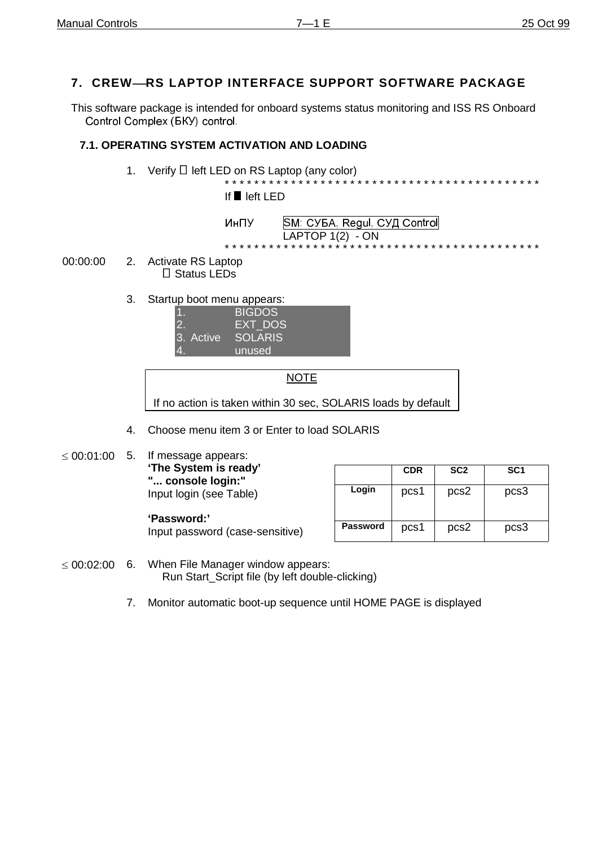## **7. CREWRS LAPTOP INTERFACE SUPPORT SOFTWARE PACKAGE**

This software package is intended for onboard systems status monitoring and ISS RS Onboard Control Complex (BKY) control.

#### **7.1. OPERATING SYSTEM ACTIVATION AND LOADING**

1. Verify  $\Box$  left LED on RS Laptop (any color) \* \* \* \* \* \* \* \* \* \* \* \* \* \* \* \* \* \* \* \* \* \* \* \* \* \* \* \* \* \* \* \* \* \* \* \* \* \* \* \* \* \* \*

If ■ left LED

- ИнПУ | SM: СУБА, Regul, СУД Control  $LAPTOP 1(2) - ON$ \* \* \* \* \* \* \* \* \* \* \* \* \* \* \* \* \* \* \* \* \* \* \* \* \* \* \* \* \* \* \* \* \* \* \* \* \* \* \* \* \* \* \*
- 00:00:00 2. Activate RS Laptop □ Status LEDs
	- 3. Startup boot menu appears:

|            | <b>BIGDOS</b> |  |
|------------|---------------|--|
|            | EXT_DOS       |  |
| 13. Active | SOLARIS       |  |
|            | unused        |  |
|            |               |  |

NOTE If no action is taken within 30 sec, SOLARIS loads by default

- 4. Choose menu item 3 or Enter to load SOLARIS
- $\leq 00:01:00$  5. If message appears: **'The System is ready' "... console login:"** Input login (see Table)

**'Password:'**

|                 | <b>CDR</b> | SC <sub>2</sub> | SC <sub>1</sub> |
|-----------------|------------|-----------------|-----------------|
| Login           | pcs1       | pcs2            | pcs3            |
| <b>Password</b> | pcs1       | pcs2            | pcs3            |

- Input password (case-sensitive)
- $\leq 00:02:00$  6. When File Manager window appears: Run Start\_Script file (by left double-clicking)
	- 7. Monitor automatic boot-up sequence until HOME PAGE is displayed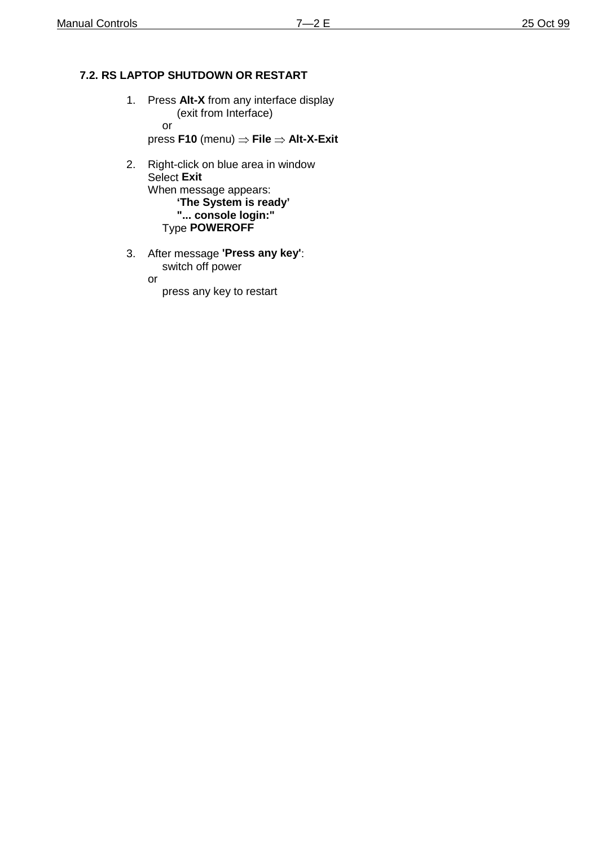## **7.2. RS LAPTOP SHUTDOWN OR RESTART**

- 1. Press **Alt-X** from any interface display (exit from Interface) or press **F10** (menu)  $\Rightarrow$  **File**  $\Rightarrow$  **Alt-X-Exit**
- 2. Right-click on blue area in window Select **Exit** When message appears: **'The System is ready' "... console login:"** Type **POWEROFF**
- 3. After message **'Press any key'**: switch off power

or

press any key to restart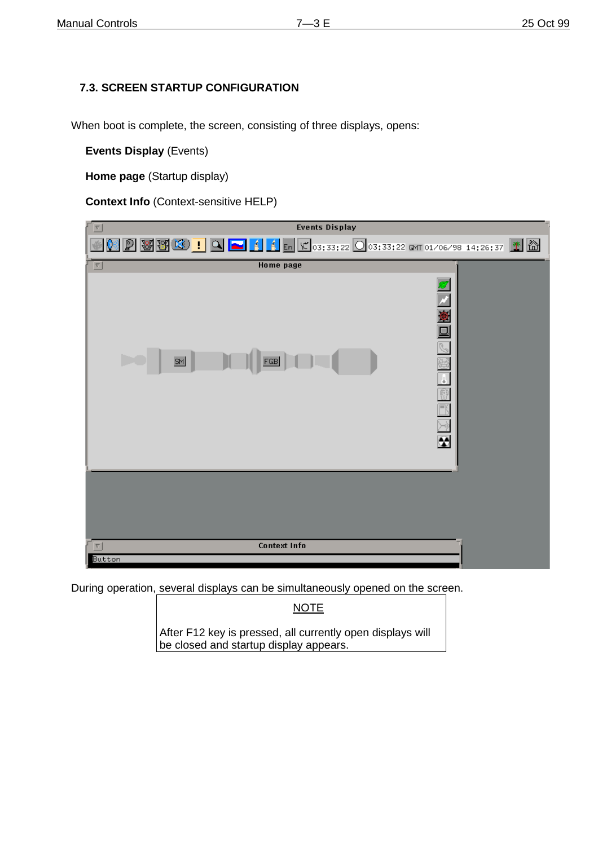#### **7.3. SCREEN STARTUP CONFIGURATION**

When boot is complete, the screen, consisting of three displays, opens:

**Events Display** (Events)

**Home page** (Startup display)

**Context Info** (Context-sensitive HELP)

| $\nabla$             | <b>Events Display</b> |                                                                                                                                                                                                              |
|----------------------|-----------------------|--------------------------------------------------------------------------------------------------------------------------------------------------------------------------------------------------------------|
|                      |                       | $\boxed{2}$ $\boxed{3}$ $\boxed{3}$ $\boxed{1}$ $\boxed{1}$ $\boxed{4}$ $\boxed{4}$ $\boxed{5}$ $\boxed{7}$ $\boxed{03;33;22}$ $\boxed{0}$ $03;33;22$ $\boxed{6}$ $\boxed{14;26;37}$ $\boxed{2}$ $\boxed{6}$ |
| 회                    | <b>Home page</b>      |                                                                                                                                                                                                              |
| SM                   | FGB                   | Ñ<br>图画图<br>J.<br>$\overline{\mathbb{R}}$<br>$\overline{\mathbb{R}}$<br>⊨ÿ<br>$\overline{\bm{\Theta}}$                                                                                                       |
|                      |                       |                                                                                                                                                                                                              |
| $\vert \nabla \vert$ | <b>Context Info</b>   |                                                                                                                                                                                                              |
| Button               |                       |                                                                                                                                                                                                              |

During operation, several displays can be simultaneously opened on the screen.

NOTE

After F12 key is pressed, all currently open displays will be closed and startup display appears.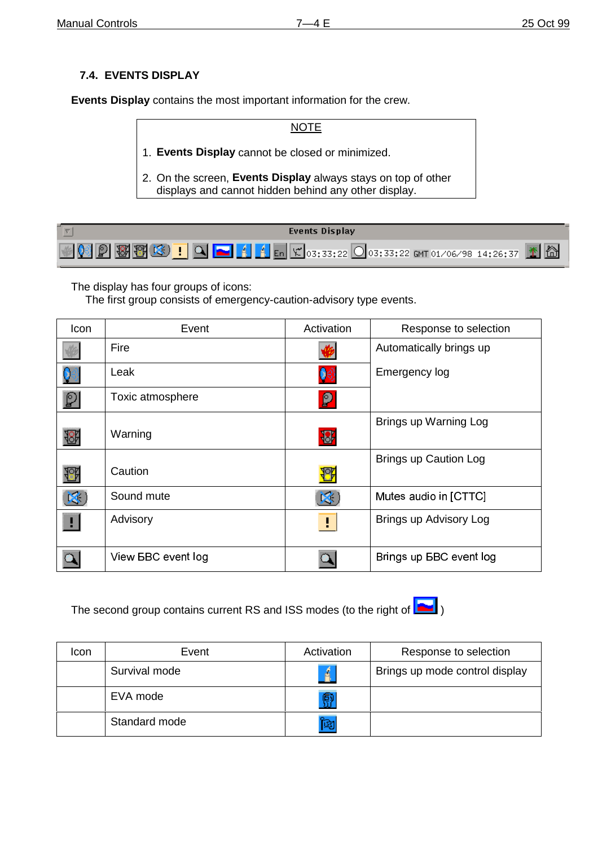## **7.4. EVENTS DISPLAY**

**Events Display** contains the most important information for the crew.

NOTE 1. **Events Display** cannot be closed or minimized. 2. On the screen, **Events Display** always stays on top of other displays and cannot hidden behind any other display.

| Events Display |
|----------------|
|                |

The display has four groups of icons:

The first group consists of emergency-caution-advisory type events.

| Icon                     | Event                     | Activation   | Response to selection          |
|--------------------------|---------------------------|--------------|--------------------------------|
|                          | Fire                      |              | Automatically brings up        |
| 06                       | Leak                      | ♥            | Emergency log                  |
| $\boxed{\mathbb{Q}}$     | Toxic atmosphere          | ρ            |                                |
| $\overline{\mathcal{S}}$ | Warning                   | $\mathbf{B}$ | Brings up Warning Log          |
| ₩                        | Caution                   | 8            | <b>Brings up Caution Log</b>   |
| $\mathbf{x}$             | Sound mute                | ×.           | Mutes audio in [CTTC]          |
| Ш                        | Advisory                  | Ð            | Brings up Advisory Log         |
|                          | View <b>BBC</b> event log |              | Brings up <b>BBC</b> event log |

The second group contains current RS and ISS modes (to the right of  $\boxed{\bullet}$ )



| Icon | Event         | Activation | Response to selection          |
|------|---------------|------------|--------------------------------|
|      | Survival mode | Á.         | Brings up mode control display |
|      | EVA mode      | 廟          |                                |
|      | Standard mode | 陶          |                                |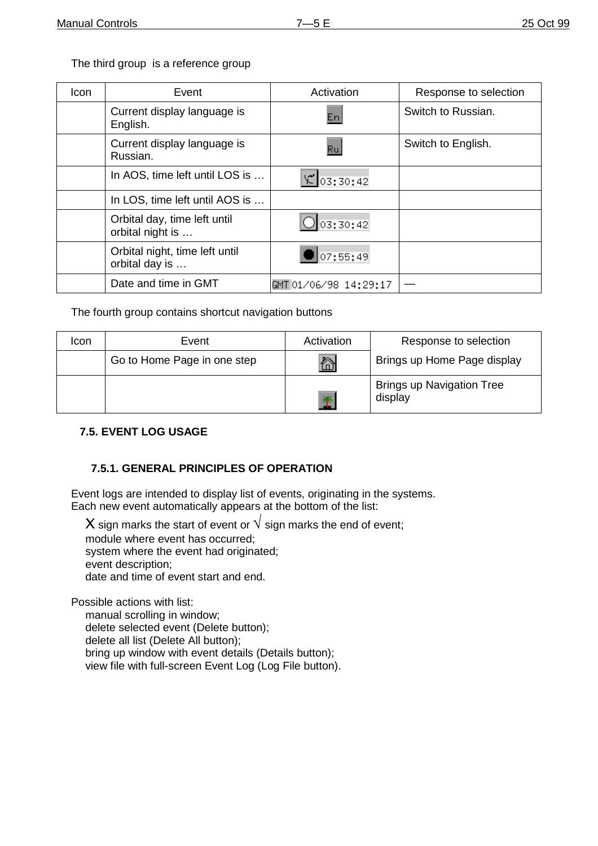The third group is a reference group

| Icon | Event                                            | Activation            | Response to selection |
|------|--------------------------------------------------|-----------------------|-----------------------|
|      | Current display language is<br>English.          | En.                   | Switch to Russian.    |
|      | Current display language is<br>Russian.          | Ru                    | Switch to English.    |
|      | In AOS, time left until LOS is                   | 203:30:42             |                       |
|      | In LOS, time left until AOS is                   |                       |                       |
|      | Orbital day, time left until<br>orbital night is | 03:30:42              |                       |
|      | Orbital night, time left until<br>orbital day is | 07:55:49              |                       |
|      | Date and time in GMT                             | GMT 01/06/98 14:29:17 |                       |

The fourth group contains shortcut navigation buttons

| Icon | Event                       | Activation | Response to selection                       |
|------|-----------------------------|------------|---------------------------------------------|
|      | Go to Home Page in one step | 忩          | Brings up Home Page display                 |
|      |                             | Ť          | <b>Brings up Navigation Tree</b><br>display |

#### **7.5. EVENT LOG USAGE**

#### **7.5.1. GENERAL PRINCIPLES OF OPERATION**

Event logs are intended to display list of events, originating in the systems. Each new event automatically appears at the bottom of the list:

X sign marks the start of event or  $\sqrt{\overline{\text{sign}}}$  marks the end of event; module where event has occurred; system where the event had originated; event description; date and time of event start and end.

Possible actions with list:

manual scrolling in window; delete selected event (Delete button); delete all list (Delete All button); bring up window with event details (Details button); view file with full-screen Event Log (Log File button).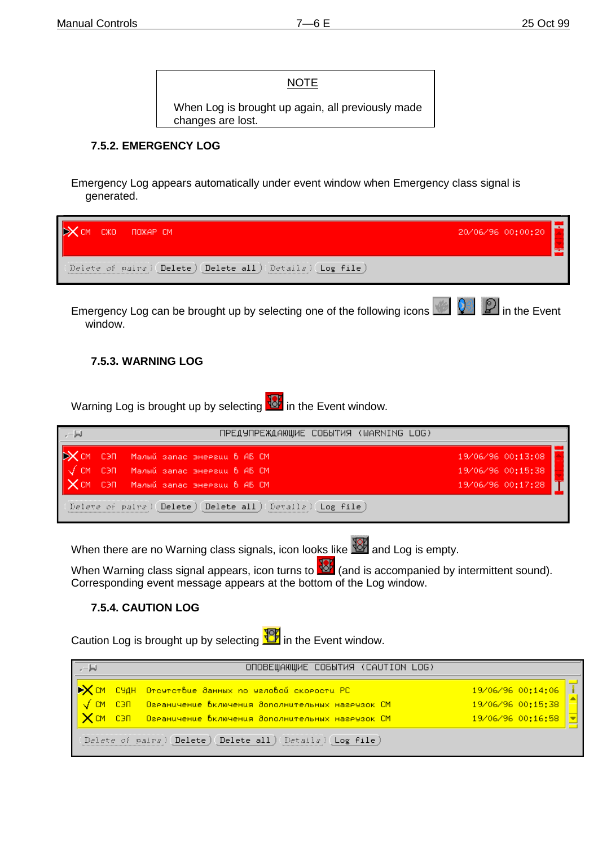#### **NOTE**

When Log is brought up again, all previously made changes are lost.

#### **7.5.2. EMERGENCY LOG**

Emergency Log appears automatically under event window when Emergency class signal is generated.

| CM, | CXO. | пожав см                                                                                        | 20/06/96 00:00:20 |  |
|-----|------|-------------------------------------------------------------------------------------------------|-------------------|--|
|     |      | (Delete of pairs) (Delete) (Delete all) (Details)<br>Log file<br>,,,,,,,,,,,,,,,,,,,,,,,,,,,,,, |                   |  |

Emergency Log can be brought up by selecting one of the following icons **in the Event** in the Event window.

#### **7.5.3. WARNING LOG**

Warning Log is brought up by selecting **18**<sup>2</sup> in the Event window.

|           | ПРЕДУПРЕЖДАЮЩИЕ СОБЫТИЯ (WARNING LOG)                      |                   |
|-----------|------------------------------------------------------------|-------------------|
|           | - СЭП - Малый запас энергии 6-АБ-СМ                        | 19/06/96 00:13:08 |
| <b>CM</b> | СЭП – Малый запас энергии 6-АБ СМ                          | 19/06/96 00:15:38 |
|           | $\mathbb X$ CM C3N Manuŭ sanac sheesuu 6 AB CM             | 19/06/96 00:17:28 |
|           | Delete of pairs (Delete) (Delete all) (Details) (Log file) |                   |

When there are no Warning class signals, icon looks like **10 and Log is empty**.

When Warning class signal appears, icon turns to  $\frac{167}{101}$  (and is accompanied by intermittent sound). Corresponding event message appears at the bottom of the Log window.

#### **7.5.4. CAUTION LOG**

Caution Log is brought up by selecting  $\frac{10}{10}$  in the Event window.

|  | ОПОВЕЩАЮЩИЕ СОБЫТИЯ (САUTION LOG)                                                  |                   |  |
|--|------------------------------------------------------------------------------------|-------------------|--|
|  | ▶️ <mark>╳</mark> СМ СУДН Отсчтствие ∂анных по чаловой скорости РС <sub>/</sub>    | 19/06/96 00:14:06 |  |
|  | <mark> √ СМ - СЭП - Озраничение включения ∂ополнительных назрузок СМ</mark>        | 19/06/96 00:15:38 |  |
|  | $  \bigtimes$ СМ СЭП — Озраничение включения дополнительных назрузок СМ $_{\rm I}$ | 19/06/96 00:16:58 |  |
|  | Delete of pairs) Delete) Delete all) Details) Log file                             |                   |  |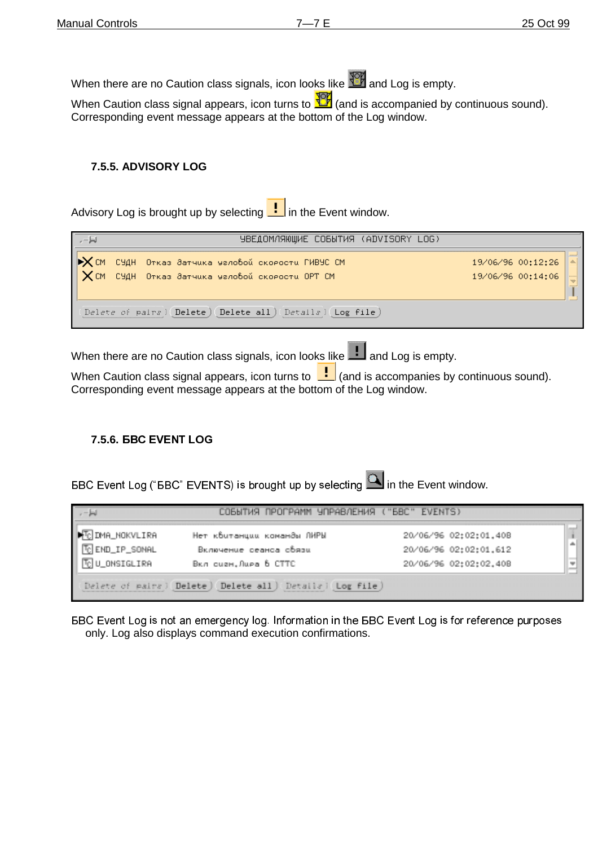When there are no Caution class signals, icon looks like  $\frac{100}{100}$  and Log is empty.

When Caution class signal appears, icon turns to  $\frac{10}{10}$  (and is accompanied by continuous sound). Corresponding event message appears at the bottom of the Log window.

#### **7.5.5. ADVISORY LOG**

Advisory Log is brought up by selecting  $\lfloor \cdot \rfloor$  in the Event window.

| ا⊫ .                                        | УВЕДОМЛЯЮЩИЕ СОБЫТИЯ (ADVISORY LOG)                                                        |                                                          |
|---------------------------------------------|--------------------------------------------------------------------------------------------|----------------------------------------------------------|
| $\mathsf{I}$ <b>X</b> CM<br>$\mathsf{X}$ cm | СУДН Отказ датчика человой скорости ГИВУС СМ<br>СУДН Отказ датчика человой скорости ОРТ СМ | 19/06/96 00:12:26<br>19/06/96 00:14:06<br>  <u>     </u> |
|                                             | Delete of pairs) Delete) Delete all) Details)<br>Log file                                  |                                                          |

When there are no Caution class signals, icon looks like **and Log** is empty.

When Caution class signal appears, icon turns to  $\left| \cdot \right|$  (and is accompanies by continuous sound). Corresponding event message appears at the bottom of the Log window.

#### 7.5.6. **BBC EVENT LOG**

 $\overline{BC}$  Event Log ("BBC" EVENTS) is brought up by selecting  $\overline{BC}$  in the Event window.

| $-1$                                                      | СОБЫТИЯ ПРОГРАММ УПРАВЛЕНИЯ ("БВС" EVENTS) |                       |  |
|-----------------------------------------------------------|--------------------------------------------|-----------------------|--|
| <b>M</b><br><b>M</b> DMA_NOKVLIRA<br><b>M</b> DLONSIGLIRA | Нет квитанции команды ЛИРЫ                 | 20/06/96 02:02:01.40B |  |
|                                                           | Включение сеаноа обязи                     | 20/06/96 02:02:01.612 |  |
|                                                           | BKA QUEH.Aupa 6 CTTC                       | 20/06/96 02:02:02.40B |  |
| Delete of pairs) Delete) Delete all) Details) Log file)   |                                            |                       |  |

**BBC Event Log is not an emergency log. Information in the BBC Event Log is for reference purposes** only. Log also displays command execution confirmations.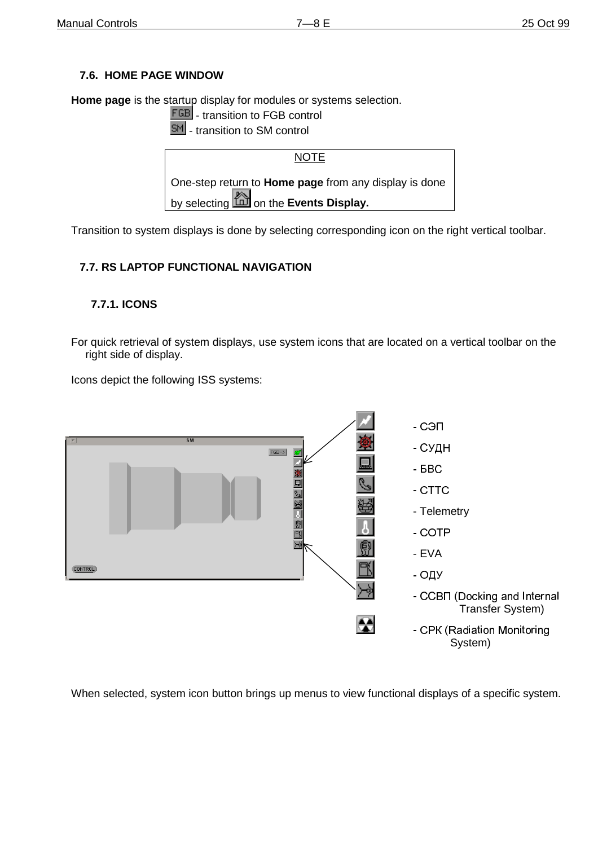## **7.6. HOME PAGE WINDOW**

**Home page** is the startup display for modules or systems selection.

**FGB** - transition to FGB control

**SM** - transition to SM control



Transition to system displays is done by selecting corresponding icon on the right vertical toolbar.

#### **7.7. RS LAPTOP FUNCTIONAL NAVIGATION**

#### **7.7.1. ICONS**

For quick retrieval of system displays, use system icons that are located on a vertical toolbar on the right side of display.

Icons depict the following ISS systems:



When selected, system icon button brings up menus to view functional displays of a specific system.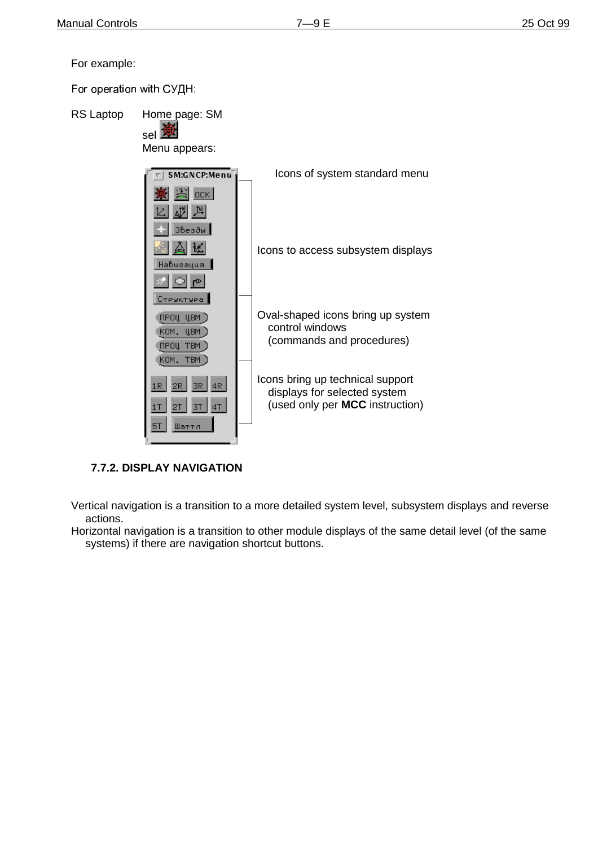For example:

For operation with СУДН:



## **7.7.2. DISPLAY NAVIGATION**

Vertical navigation is a transition to a more detailed system level, subsystem displays and reverse actions.

Horizontal navigation is a transition to other module displays of the same detail level (of the same systems) if there are navigation shortcut buttons.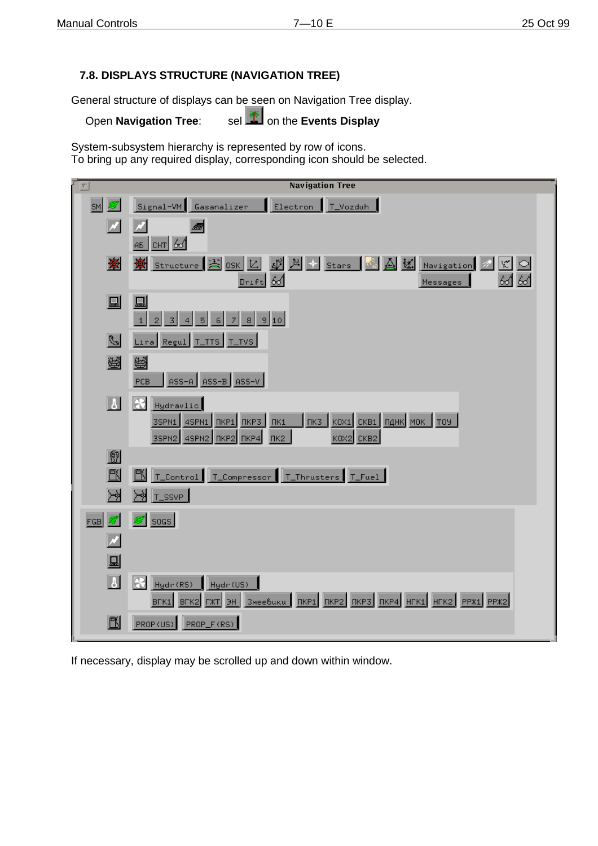## **7.8. DISPLAYS STRUCTURE (NAVIGATION TREE)**

General structure of displays can be seen on Navigation Tree display.

Open **Navigation Tree:** sel **1** on the **Events Display** 

System-subsystem hierarchy is represented by row of icons. To bring up any required display, corresponding icon should be selected.

| $\nabla$                   | <b>Navigation Tree</b>                                                                                                                                |
|----------------------------|-------------------------------------------------------------------------------------------------------------------------------------------------------|
| SM                         | Signal-VM Gasanalizer<br>Electron<br>T_Vozduh                                                                                                         |
| $\boldsymbol{\mathscr{M}}$ | Alli<br>$AB$ CHT $6d$                                                                                                                                 |
| $\bigcirc$                 | $\frac{10}{4}$ Stars<br>Structure $\frac{1}{2}$ OSK $\frac{1}{2}$<br>$Dirit$ 60<br>$66$ $66$<br>Messages                                              |
| 딟                          | 昷<br>8 9 10 <br>$\overline{3}$<br>$\overline{4}$<br>5<br>6<br>7<br>$\mathbf{1}$<br>$\overline{2}$                                                     |
| $\mathscr{C}$              | Lira Regul T_TTS T_TVS                                                                                                                                |
| 圈                          | 爵<br>ASS-A ASS-B ASS-V<br>PCB                                                                                                                         |
| b                          | R<br>Hydravlic<br>$K$ OX1 CKB1 $n_A$ HK MOK TOY<br>3SPN1 4SPN1 NKP1 NKP3<br>ПК3<br>$\n  fix1\n$<br>3SPN2 4SPN2   NKP2 NKP4<br>$\Pi$ K2<br>KOX2 CKB2   |
| 劇<br>歐<br>≻≽               | K<br>T_Control   T_Compressor   T_Thrusters   T_Fuel<br>H T_SSVP                                                                                      |
| FGB<br>N                   | socs                                                                                                                                                  |
| 显                          |                                                                                                                                                       |
| $\vert \mathbf{J} \vert$   | R<br>Hydr (RS) Hydr (US)<br>3Meebuku   NKP1   NKP2   NKP3   NKP4   HFK1   HFK2   PPX1   PPX2<br>B <sub>FK1</sub><br>$BFK2$ $\Gamma$ $KT$ $\Theta$ $H$ |
| 歐                          | PROP_F(RS)<br>PROP (US)                                                                                                                               |

If necessary, display may be scrolled up and down within window.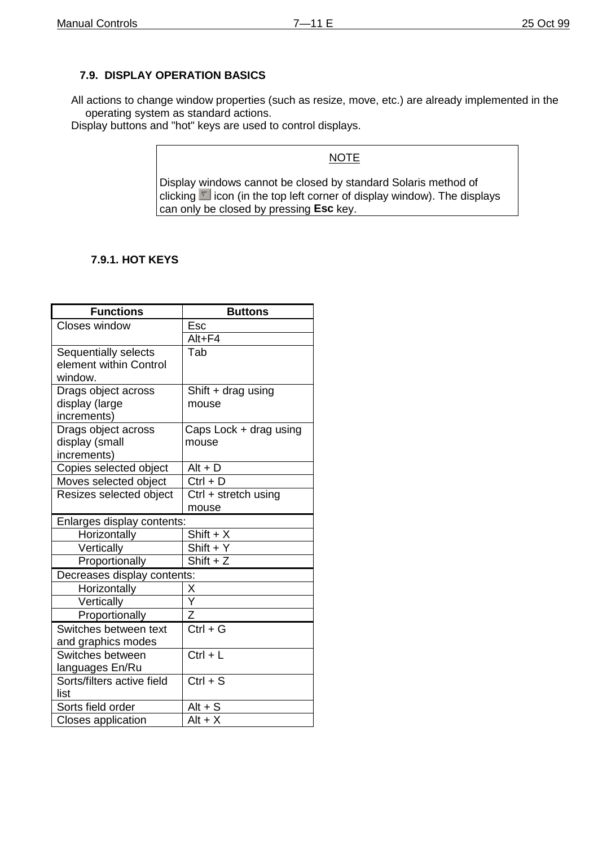#### **7.9. DISPLAY OPERATION BASICS**

All actions to change window properties (such as resize, move, etc.) are already implemented in the operating system as standard actions.

Display buttons and "hot" keys are used to control displays.

#### NOTE

Display windows cannot be closed by standard Solaris method of clicking  $\Box$  icon (in the top left corner of display window). The displays can only be closed by pressing **Esc** key.

#### **7.9.1. HOT KEYS**

| <b>Functions</b>            | <b>Buttons</b>                  |
|-----------------------------|---------------------------------|
| Closes window               | Esc                             |
|                             | Alt+F4                          |
| Sequentially selects        | Tab                             |
| element within Control      |                                 |
| window.                     |                                 |
| Drags object across         | Shift $+$ drag using            |
| display (large              | mouse                           |
| increments)                 |                                 |
| Drags object across         | Caps Lock + drag using          |
| display (small              | mouse                           |
| increments)                 |                                 |
| Copies selected object      | $Alt + D$                       |
| Moves selected object       | $Ctrl + D$                      |
| Resizes selected object     | Ctrl + stretch using            |
|                             | mouse                           |
| Enlarges display contents:  |                                 |
| Horizontally                | $Shift + X$                     |
| Vertically                  | $Shift + Y$                     |
| Proportionally              | $\overline{Shift} + Z$          |
| Decreases display contents: |                                 |
| Horizontally                | $\frac{\mathsf{X}}{\mathsf{Y}}$ |
| Vertically                  |                                 |
| Proportionally              | $\overline{z}$                  |
| Switches between text       | $Ctrl + G$                      |
| and graphics modes          |                                 |
| Switches between            | $Ctrl + L$                      |
| languages En/Ru             |                                 |
| Sorts/filters active field  | $Ctrl + S$                      |
| list                        |                                 |
| Sorts field order           | $Alt + S$                       |
| Closes application          | $Alt + X$                       |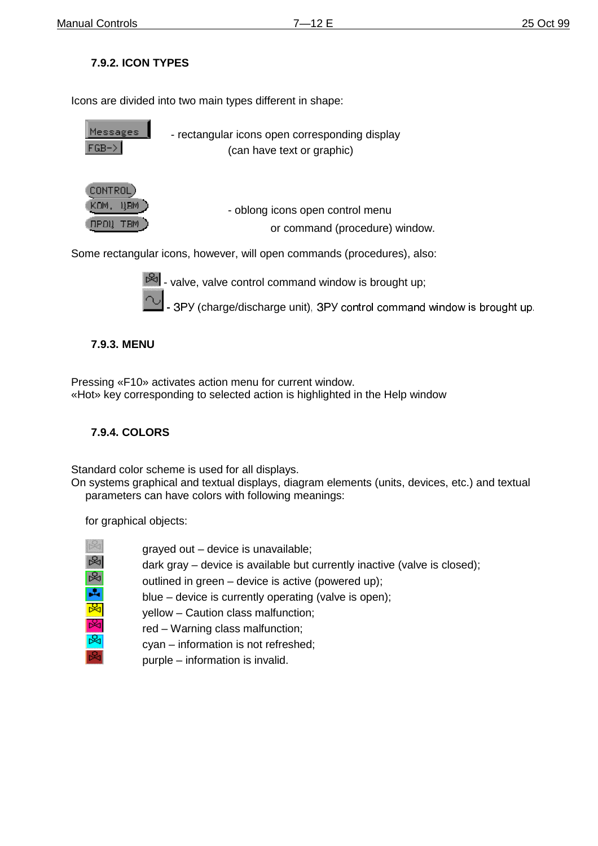## **7.9.2. ICON TYPES**

Icons are divided into two main types different in shape:

| Messages<br>$FGB->$                                               | - rectangular icons open corresponding display<br>(can have text or graphic) |
|-------------------------------------------------------------------|------------------------------------------------------------------------------|
| <b>CONTROL</b><br><b>UBM</b><br>KUM.<br><b>TBM</b><br><b>NPOU</b> | - oblong icons open control menu<br>or command (procedure) window.           |
|                                                                   | Some rectangular icons, however, will open commands (procedures), also:      |



 $\mathbb{R}$  - valve, valve control command window is brought up;

- 3PY (charge/discharge unit), 3PY control command window is brought up.

## **7.9.3. MENU**

Pressing «F10» activates action menu for current window. «Hot» key corresponding to selected action is highlighted in the Help window

## **7.9.4. COLORS**

Standard color scheme is used for all displays.

On systems graphical and textual displays, diagram elements (units, devices, etc.) and textual parameters can have colors with following meanings:

for graphical objects:

| ₩  |
|----|
| 汊  |
| ۹, |
| ī  |
|    |
|    |
|    |

grayed out – device is unavailable;

dark gray – device is available but currently inactive (valve is closed);

outlined in green – device is active (powered up);

blue – device is currently operating (valve is open);

yellow – Caution class malfunction;

- red Warning class malfunction;
	- cyan information is not refreshed;
- purple information is invalid.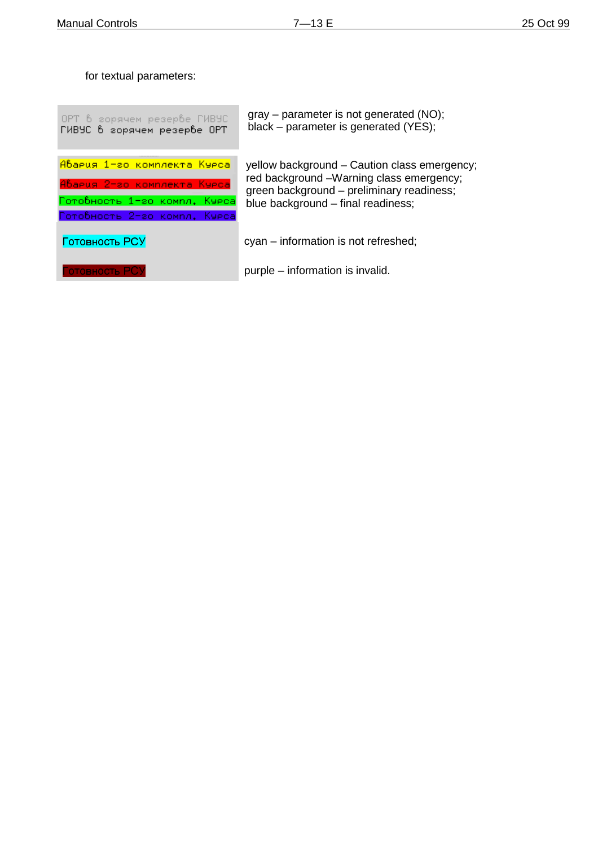for textual parameters:

| OPT 6 горячем резербе ГИВУС  | $grav - parameter$ is not generated (NO);    |
|------------------------------|----------------------------------------------|
| ГИВУС в горячем резерве OPT  | black – parameter is generated (YES);        |
| Авария 1-го комплекта Курса  | yellow background – Caution class emergency; |
| Авария 2-го комплекта Курса  | red background -Warning class emergency;     |
| Готовность 1-го компл. Курса | green background - preliminary readiness;    |
| Готовность 2-го компл. Курса | blue background - final readiness;           |
| Готовность РСУ               | cyan – information is not refreshed;         |
| Готовность РСУ               | purple – information is invalid.             |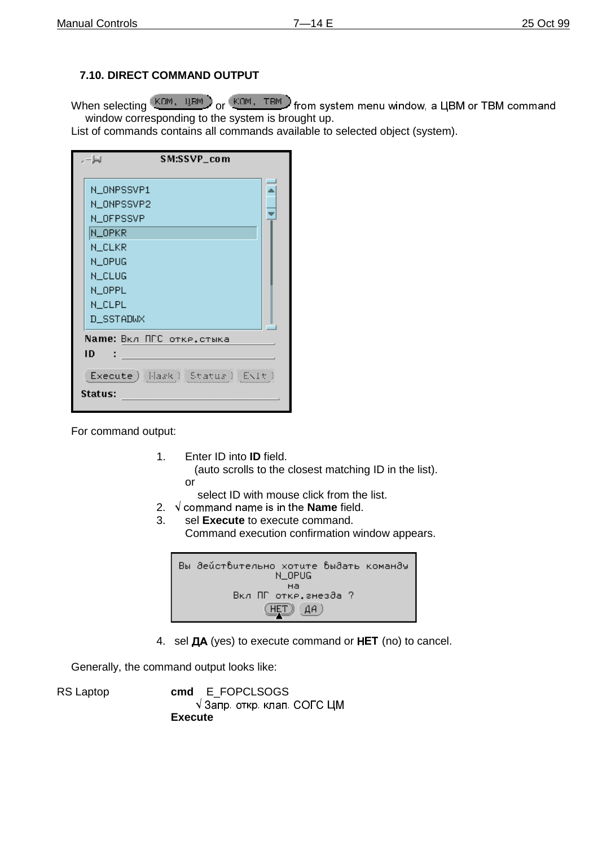## **7.10. DIRECT COMMAND OUTPUT**

When selecting **KOM, UBM** or KOM, TBM from system menu window, a UBM or TBM command window corresponding to the system is brought up.

List of commands contains all commands available to selected object (system).

| SM:SSVP_com<br>ا⊫ .              |                    |
|----------------------------------|--------------------|
| N_ONPSSVP1                       |                    |
| N_ONPSSVP2                       |                    |
| N_OFPSSVP                        |                    |
| N_OPKR                           |                    |
| N_CLKR                           |                    |
| N_OPUG                           |                    |
| N_CLUG                           |                    |
| N_OPPL                           |                    |
| <b>N_CLPL</b>                    | 000000000000000000 |
| D_SSTADWX                        |                    |
| Name: Вкл ПГС отке, стыка        |                    |
| ID                               |                    |
| Execute ) Hask ) Status ) ENIt ) |                    |
| Status:                          |                    |

For command output:

1. Enter ID into **ID** field.

 (auto scrolls to the closest matching ID in the list). or

select ID with mouse click from the list.

- 2.  $\sqrt{\ }$  command name is in the **Name** field.
- 3. sel **Execute** to execute command. Command execution confirmation window appears.



4. sel **ДА** (yes) to execute command or HET (no) to cancel.

Generally, the command output looks like:

RS Laptop **cmd** E\_FOPCLSOGS  $\sqrt{3}$ апр. откр. клап. СОГС ЦМ **Execute**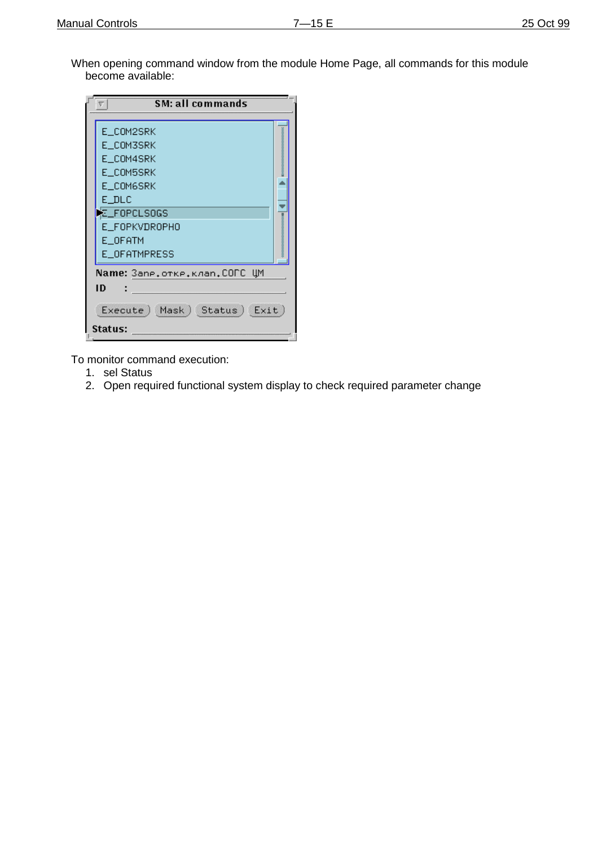When opening command window from the module Home Page, all commands for this module become available:

| <b>SM: all commands</b><br>π        |                                 |  |  |
|-------------------------------------|---------------------------------|--|--|
| E_COM2SRK                           |                                 |  |  |
| E_COM3SRK                           | なるなるならなるならなるならなるならなるならなるならなるならな |  |  |
| E COM4SRK                           |                                 |  |  |
| E COM5SRK                           |                                 |  |  |
| E COM6SRK                           |                                 |  |  |
| E DLC                               |                                 |  |  |
| に_FOPCLSOGS                         |                                 |  |  |
| E FOPKVDROPHO                       |                                 |  |  |
| E OFATM                             | ■そののののののののののののののののののの           |  |  |
| E OFATMPRESS                        |                                 |  |  |
| <b>Name:</b> Запе.отке.клап.СОГС ЦМ |                                 |  |  |
| ID                                  |                                 |  |  |
| Execute (Mask) Status (Exit)        |                                 |  |  |
| Status:                             |                                 |  |  |

To monitor command execution:

- 1. sel Status
- 2. Open required functional system display to check required parameter change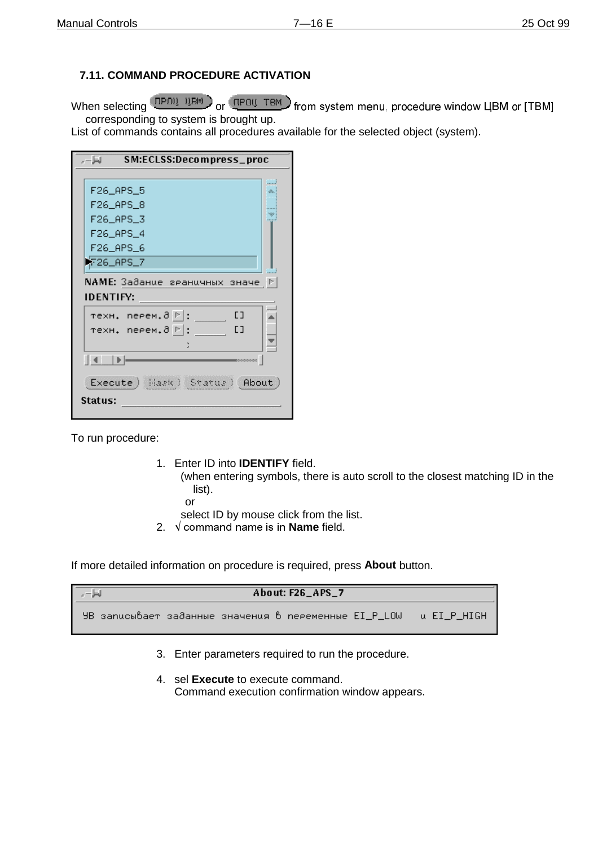## **7.11. COMMAND PROCEDURE ACTIVATION**

When selecting  $\left(\frac{P}{P} \right)$  and  $P$   $\left(\frac{P}{P} \right)$  and  $P$  are  $\left(\frac{P}{P} \right)$  from system menu, procedure window LIBM or ITBMI corresponding to system is brought up.

List of commands contains all procedures available for the selected object (system).

| SM:ECLSS:Decompress_proc<br>ا⊫ -.                    |  |  |
|------------------------------------------------------|--|--|
|                                                      |  |  |
| F26_APS_5                                            |  |  |
| F26_APS_8                                            |  |  |
| F26_APS_3                                            |  |  |
| F26_APS_4                                            |  |  |
| F26_APS_6                                            |  |  |
| ) 7_RPS                                              |  |  |
| $\mathsf{NAME:}$ Заданце гранцчных значе $\mathbb P$ |  |  |
| <b>IDENTIFY:</b>                                     |  |  |
| техн. neeeм.∂ ⊵ :<br>E ]                             |  |  |
| E ]<br>техн. neeeм.∂ P :                             |  |  |
|                                                      |  |  |
| 14 DE<br>500000000000                                |  |  |
| Execute   Hask   Status   About                      |  |  |
| Status:                                              |  |  |

To run procedure:

1. Enter ID into **IDENTIFY** field.

 (when entering symbols, there is auto scroll to the closest matching ID in the list).

- or
- select ID by mouse click from the list.
- 2. √ command name is in **Name** field.

If more detailed information on procedure is required, press **About** button.

| About: F26 APS 7                                                    |  |
|---------------------------------------------------------------------|--|
| УВ записывает заданные значения в переменные EI_P_LOW — и EI_P_HIGH |  |

- 3. Enter parameters required to run the procedure.
- 4. sel **Execute** to execute command. Command execution confirmation window appears.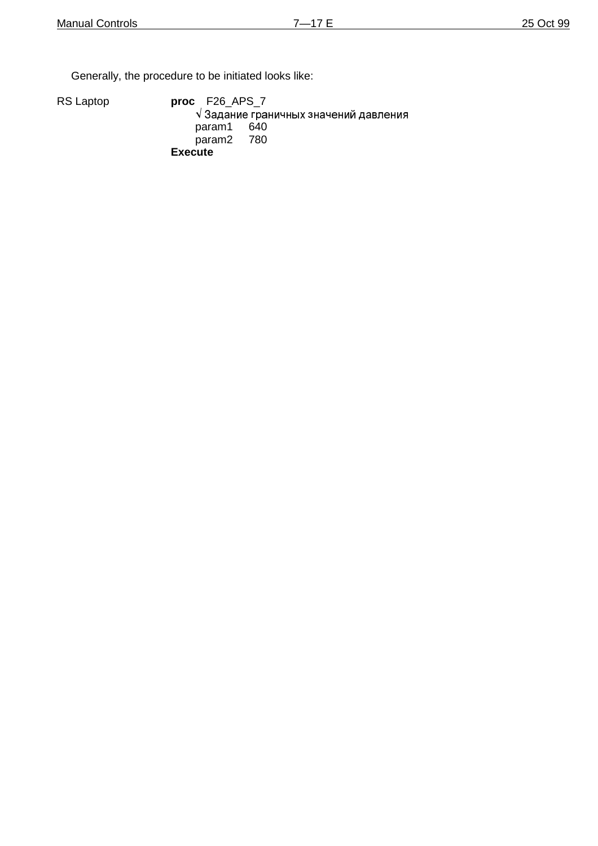Generally, the procedure to be initiated looks like:

RS Laptop **proc** F26\_APS\_7

 $\sqrt{3}$ адание граничных значений давления<br>param1 640 param1 param2 780 **Execute**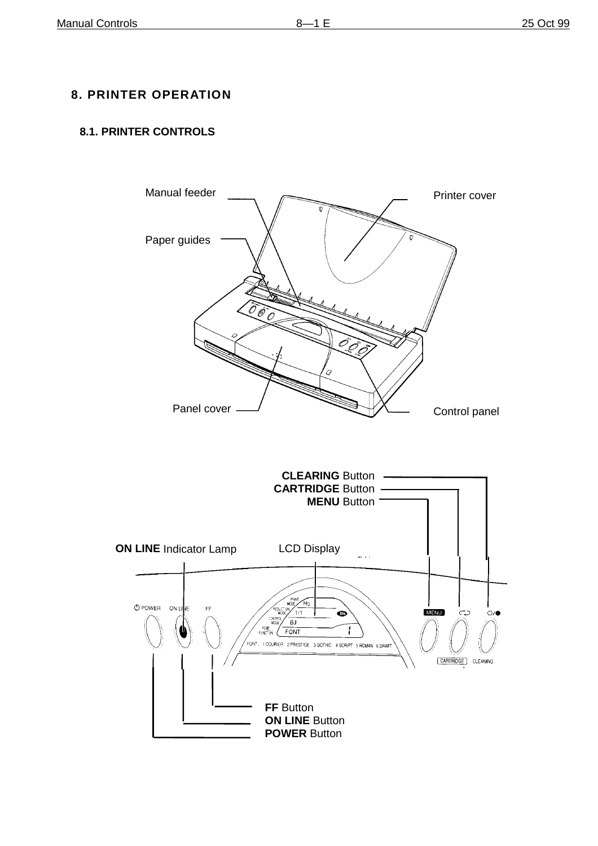## **8. PRINTER OPERATION**

## **8.1. PRINTER CONTROLS**

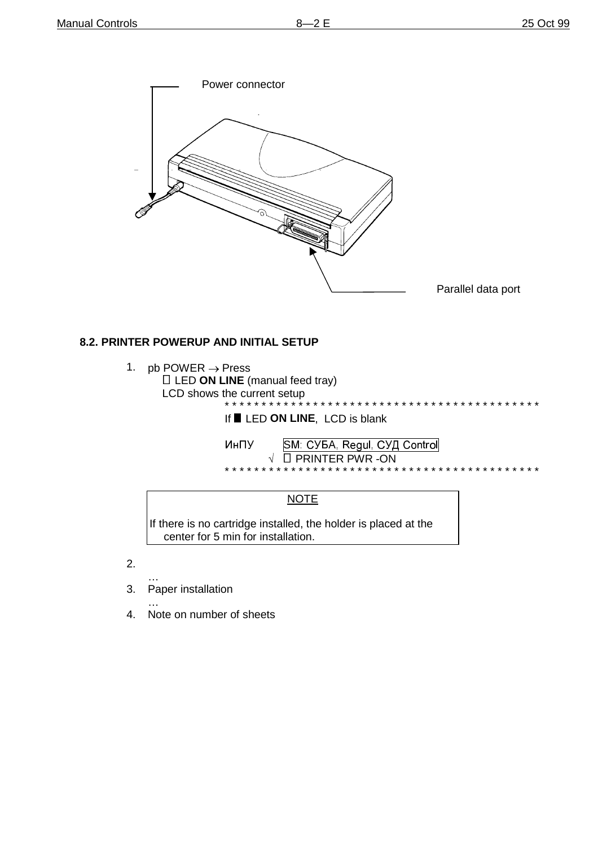\* \* \* \* \* \* \* \* \* \* \* \* \*



## 8.2. PRINTER POWERUP AND INITIAL SETUP

- 1. pb POWER  $\rightarrow$  Press **I** LED ON LINE (manual feed tray) LCD shows the current setup
	- \* \* \* \* \* \* \* \* \* \* \* \*

If LED ON LINE, LCD is blank

| ИнПУ | SM: СУБА, Regul, СУД Control      |
|------|-----------------------------------|
|      | $\sqrt{ }$ $\Box$ PRINTER PWR -ON |
|      |                                   |

## **NOTE**

If there is no cartridge installed, the holder is placed at the center for 5 min for installation.

- $2.$
- $\overline{3}$ . Paper installation
	-
- $\overline{4}$ . Note on number of sheets